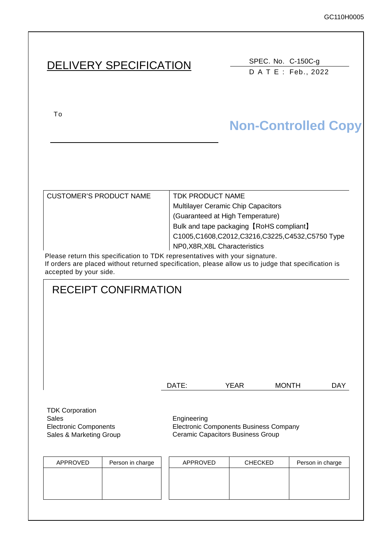# DELIVERY SPECIFICATION SPEC. No. C-150C-g

DATE: Feb., 2022

To upon the acceptance of this spec. previous spec. previous spec. previous spec. previous spec. previous spec.

# **Non-Controlled Copy**

CUSTOMER'S PRODUCT NAME TDK PRODUCT NAME

Multilayer Ceramic Chip Capacitors (Guaranteed at High Temperature) Bulk and tape packaging【RoHS compliant】 C1005,C1608,C2012,C3216,C3225,C4532,C5750 Type NP0,X8R,X8L Characteristics

Please return this specification to TDK representatives with your signature. If orders are placed without returned specification, please allow us to judge that specification is accepted by your side.

# RECEIPT CONFIRMATION

| DATE: | YEAR | <b>MONTH</b> | <b>DAY</b> |
|-------|------|--------------|------------|
|       |      |              |            |

TDK Corporation Sales **Engineering** Electronic Components Sales & Marketing Group

Electronic Components Business Company Ceramic Capacitors Business Group

| APPROVED | Person in charge | APPROVED | <b>CHECKED</b> | Person in charge |
|----------|------------------|----------|----------------|------------------|
|          |                  |          |                |                  |
|          |                  |          |                |                  |
|          |                  |          |                |                  |
|          |                  |          |                |                  |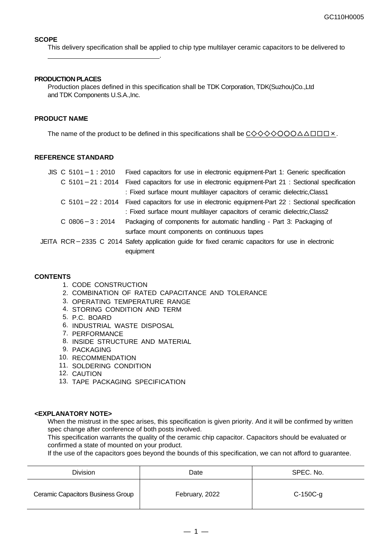#### **SCOPE**

This delivery specification shall be applied to chip type multilayer ceramic capacitors to be delivered to

#### **PRODUCTION PLACES**

.

Production places defined in this specification shall be TDK Corporation, TDK(Suzhou)Co.,Ltd and TDK Components U.S.A.,Inc.

#### **PRODUCT NAME**

The name of the product to be defined in this specifications shall be  $\underline{C\diamondsuit\diamondsuit\diamondsuit\bigcirc\bigcirc\bigcirc\triangle\triangle\Box\Box\Box\times$ .

#### **REFERENCE STANDARD**

| $JIS$ C 5101 - 1 : 2010 | Fixed capacitors for use in electronic equipment-Part 1: Generic specification                    |
|-------------------------|---------------------------------------------------------------------------------------------------|
| $C$ 5101 - 21 : 2014    | Fixed capacitors for use in electronic equipment-Part 21 : Sectional specification                |
|                         | : Fixed surface mount multilayer capacitors of ceramic dielectric, Class1                         |
| $C$ 5101 - 22 : 2014    | Fixed capacitors for use in electronic equipment-Part 22 : Sectional specification                |
|                         | : Fixed surface mount multilayer capacitors of ceramic dielectric, Class2                         |
| $C$ 0806 $-3:2014$      | Packaging of components for automatic handling - Part 3: Packaging of                             |
|                         | surface mount components on continuous tapes                                                      |
|                         | JEITA RCR-2335 C 2014 Safety application guide for fixed ceramic capacitors for use in electronic |
|                         | equipment                                                                                         |

#### **CONTENTS**

- 1. CODE CONSTRUCTION
- 2. COMBINATION OF RATED CAPACITANCE AND TOLERANCE
- 3. OPERATING TEMPERATURE RANGE
- 4. STORING CONDITION AND TERM
- 5. P.C. BOARD
- 6. INDUSTRIAL WASTE DISPOSAL
- 7. PERFORMANCE
- 8. INSIDE STRUCTURE AND MATERIAL
- 9. PACKAGING
- 10. RECOMMENDATION
- 11. SOLDERING CONDITION
- 12. CAUTION
- 13. TAPE PACKAGING SPECIFICATION

#### **<EXPLANATORY NOTE>**

When the mistrust in the spec arises, this specification is given priority. And it will be confirmed by written spec change after conference of both posts involved.

This specification warrants the quality of the ceramic chip capacitor. Capacitors should be evaluated or confirmed a state of mounted on your product.

If the use of the capacitors goes beyond the bounds of this specification, we can not afford to guarantee.

| <b>Division</b>                   | Date           | SPEC. No.  |
|-----------------------------------|----------------|------------|
| Ceramic Capacitors Business Group | February, 2022 | $C-150C-g$ |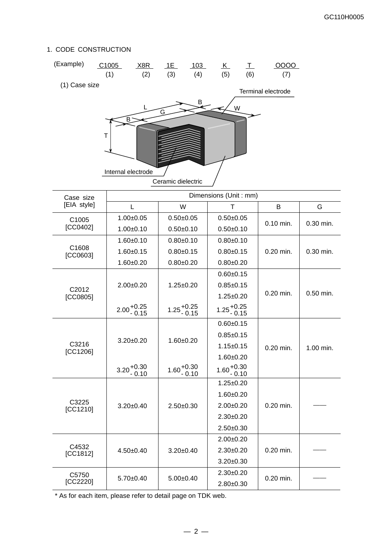### 1. CODE CONSTRUCTION

| (Example)     | C <sub>1005</sub>                                                                                                                                                                                                                                                                                                                                                                                                                                                                                                                                                                                                                                                                                                                                                                                                                                                                                                                                                                                                                                                                                                                                           | X8R | 1E | 103 | <u>_K_</u> | 工         | 0000<br>(7)        |             |
|---------------|-------------------------------------------------------------------------------------------------------------------------------------------------------------------------------------------------------------------------------------------------------------------------------------------------------------------------------------------------------------------------------------------------------------------------------------------------------------------------------------------------------------------------------------------------------------------------------------------------------------------------------------------------------------------------------------------------------------------------------------------------------------------------------------------------------------------------------------------------------------------------------------------------------------------------------------------------------------------------------------------------------------------------------------------------------------------------------------------------------------------------------------------------------------|-----|----|-----|------------|-----------|--------------------|-------------|
| (1) Case size |                                                                                                                                                                                                                                                                                                                                                                                                                                                                                                                                                                                                                                                                                                                                                                                                                                                                                                                                                                                                                                                                                                                                                             |     |    |     |            |           |                    |             |
|               |                                                                                                                                                                                                                                                                                                                                                                                                                                                                                                                                                                                                                                                                                                                                                                                                                                                                                                                                                                                                                                                                                                                                                             |     |    |     |            |           | Terminal electrode |             |
|               |                                                                                                                                                                                                                                                                                                                                                                                                                                                                                                                                                                                                                                                                                                                                                                                                                                                                                                                                                                                                                                                                                                                                                             |     |    |     |            |           |                    |             |
|               |                                                                                                                                                                                                                                                                                                                                                                                                                                                                                                                                                                                                                                                                                                                                                                                                                                                                                                                                                                                                                                                                                                                                                             |     |    |     |            |           |                    |             |
|               |                                                                                                                                                                                                                                                                                                                                                                                                                                                                                                                                                                                                                                                                                                                                                                                                                                                                                                                                                                                                                                                                                                                                                             |     |    |     |            |           |                    |             |
|               |                                                                                                                                                                                                                                                                                                                                                                                                                                                                                                                                                                                                                                                                                                                                                                                                                                                                                                                                                                                                                                                                                                                                                             |     |    |     |            |           |                    |             |
|               |                                                                                                                                                                                                                                                                                                                                                                                                                                                                                                                                                                                                                                                                                                                                                                                                                                                                                                                                                                                                                                                                                                                                                             |     |    |     |            |           |                    |             |
|               |                                                                                                                                                                                                                                                                                                                                                                                                                                                                                                                                                                                                                                                                                                                                                                                                                                                                                                                                                                                                                                                                                                                                                             |     |    |     |            |           |                    |             |
|               |                                                                                                                                                                                                                                                                                                                                                                                                                                                                                                                                                                                                                                                                                                                                                                                                                                                                                                                                                                                                                                                                                                                                                             |     |    |     |            |           |                    |             |
|               |                                                                                                                                                                                                                                                                                                                                                                                                                                                                                                                                                                                                                                                                                                                                                                                                                                                                                                                                                                                                                                                                                                                                                             |     |    |     |            |           |                    |             |
| Case size     |                                                                                                                                                                                                                                                                                                                                                                                                                                                                                                                                                                                                                                                                                                                                                                                                                                                                                                                                                                                                                                                                                                                                                             |     |    |     |            |           |                    |             |
|               |                                                                                                                                                                                                                                                                                                                                                                                                                                                                                                                                                                                                                                                                                                                                                                                                                                                                                                                                                                                                                                                                                                                                                             |     |    |     |            |           | B                  | G           |
| C1005         |                                                                                                                                                                                                                                                                                                                                                                                                                                                                                                                                                                                                                                                                                                                                                                                                                                                                                                                                                                                                                                                                                                                                                             |     |    |     |            |           | 0.10 min.          | 0.30 min.   |
|               |                                                                                                                                                                                                                                                                                                                                                                                                                                                                                                                                                                                                                                                                                                                                                                                                                                                                                                                                                                                                                                                                                                                                                             |     |    |     |            |           |                    |             |
|               |                                                                                                                                                                                                                                                                                                                                                                                                                                                                                                                                                                                                                                                                                                                                                                                                                                                                                                                                                                                                                                                                                                                                                             |     |    |     |            |           |                    |             |
| [CC0603]      |                                                                                                                                                                                                                                                                                                                                                                                                                                                                                                                                                                                                                                                                                                                                                                                                                                                                                                                                                                                                                                                                                                                                                             |     |    |     |            | 0.20 min. | 0.30 min.          |             |
|               |                                                                                                                                                                                                                                                                                                                                                                                                                                                                                                                                                                                                                                                                                                                                                                                                                                                                                                                                                                                                                                                                                                                                                             |     |    |     |            |           |                    |             |
|               |                                                                                                                                                                                                                                                                                                                                                                                                                                                                                                                                                                                                                                                                                                                                                                                                                                                                                                                                                                                                                                                                                                                                                             |     |    |     |            |           |                    |             |
| C2012         |                                                                                                                                                                                                                                                                                                                                                                                                                                                                                                                                                                                                                                                                                                                                                                                                                                                                                                                                                                                                                                                                                                                                                             |     |    |     |            |           | 0.20 min.          | $0.50$ min. |
| [CC0805]      |                                                                                                                                                                                                                                                                                                                                                                                                                                                                                                                                                                                                                                                                                                                                                                                                                                                                                                                                                                                                                                                                                                                                                             |     |    |     |            |           |                    |             |
|               | (5)<br>(3)<br>(6)<br>(1)<br>(2)<br>(4)<br>B<br>W<br>G<br>B<br>T<br>Internal electrode<br>Ceramic dielectric<br>Dimensions (Unit: mm)<br>[EIA style]<br>W<br>L<br>Τ<br>$1.00 + 0.05$<br>$0.50 + 0.05$<br>$0.50 + 0.05$<br>[CC0402]<br>$1.00 + 0.10$<br>$0.50 + 0.10$<br>$0.50 + 0.10$<br>$1.60 + 0.10$<br>$0.80 + 0.10$<br>$0.80 + 0.10$<br>C1608<br>$1.60 + 0.15$<br>$0.80 + 0.15$<br>$0.80 + 0.15$<br>$1.60 + 0.20$<br>$0.80 + 0.20$<br>$0.80 + 0.20$<br>$0.60 + 0.15$<br>$2.00 + 0.20$<br>$1.25 \pm 0.20$<br>$0.85 + 0.15$<br>$1.25 \pm 0.20$<br>$2.00^{+0.25}_{-0.15}$<br>$1.25 + 0.25$<br>0.15<br>$1.25_{ -0.15}^{ +0.25}$<br>$0.60 + 0.15$<br>$0.85 + 0.15$<br>$3.20 \pm 0.20$<br>$1.60 + 0.20$<br>$1.15 \pm 0.15$<br>[CC1206]<br>$1.60 + 0.20$<br>$3.20^{+0.30}_{-0.10}$<br>$1.60^{+0.30}_{-0.10}$<br>$1.60 + 0.30$<br>$- 0.10$<br>$1.25 \pm 0.20$<br>$1.60 + 0.20$<br>$2.00 \pm 0.20$<br>$3.20 \pm 0.40$<br>$2.50 \pm 0.30$<br>[CC1210]<br>$2.30 \pm 0.20$<br>$2.50+0.30$<br>$2.00+0.20$<br>$2.30 \pm 0.20$<br>$4.50 + 0.40$<br>$3.20 \pm 0.40$<br>[CC1812]<br>$3.20 \pm 0.30$<br>$2.30+0.20$<br>$5.70 \pm 0.40$<br>$5.00 \pm 0.40$<br>$2.80 + 0.30$ |     |    |     |            |           |                    |             |
|               |                                                                                                                                                                                                                                                                                                                                                                                                                                                                                                                                                                                                                                                                                                                                                                                                                                                                                                                                                                                                                                                                                                                                                             |     |    |     |            |           |                    |             |
|               |                                                                                                                                                                                                                                                                                                                                                                                                                                                                                                                                                                                                                                                                                                                                                                                                                                                                                                                                                                                                                                                                                                                                                             |     |    |     |            |           |                    |             |
| C3216         |                                                                                                                                                                                                                                                                                                                                                                                                                                                                                                                                                                                                                                                                                                                                                                                                                                                                                                                                                                                                                                                                                                                                                             |     |    |     |            |           | 0.20 min.          | 1.00 min.   |
|               |                                                                                                                                                                                                                                                                                                                                                                                                                                                                                                                                                                                                                                                                                                                                                                                                                                                                                                                                                                                                                                                                                                                                                             |     |    |     |            |           |                    |             |
|               |                                                                                                                                                                                                                                                                                                                                                                                                                                                                                                                                                                                                                                                                                                                                                                                                                                                                                                                                                                                                                                                                                                                                                             |     |    |     |            |           |                    |             |
|               |                                                                                                                                                                                                                                                                                                                                                                                                                                                                                                                                                                                                                                                                                                                                                                                                                                                                                                                                                                                                                                                                                                                                                             |     |    |     |            |           |                    |             |
|               |                                                                                                                                                                                                                                                                                                                                                                                                                                                                                                                                                                                                                                                                                                                                                                                                                                                                                                                                                                                                                                                                                                                                                             |     |    |     |            |           |                    |             |
| C3225         |                                                                                                                                                                                                                                                                                                                                                                                                                                                                                                                                                                                                                                                                                                                                                                                                                                                                                                                                                                                                                                                                                                                                                             |     |    |     |            |           | 0.20 min.          |             |
|               |                                                                                                                                                                                                                                                                                                                                                                                                                                                                                                                                                                                                                                                                                                                                                                                                                                                                                                                                                                                                                                                                                                                                                             |     |    |     |            |           |                    |             |
|               |                                                                                                                                                                                                                                                                                                                                                                                                                                                                                                                                                                                                                                                                                                                                                                                                                                                                                                                                                                                                                                                                                                                                                             |     |    |     |            |           |                    |             |
|               |                                                                                                                                                                                                                                                                                                                                                                                                                                                                                                                                                                                                                                                                                                                                                                                                                                                                                                                                                                                                                                                                                                                                                             |     |    |     |            |           |                    |             |
| C4532         |                                                                                                                                                                                                                                                                                                                                                                                                                                                                                                                                                                                                                                                                                                                                                                                                                                                                                                                                                                                                                                                                                                                                                             |     |    |     |            |           | 0.20 min.          |             |
|               |                                                                                                                                                                                                                                                                                                                                                                                                                                                                                                                                                                                                                                                                                                                                                                                                                                                                                                                                                                                                                                                                                                                                                             |     |    |     |            |           |                    |             |
| C5750         |                                                                                                                                                                                                                                                                                                                                                                                                                                                                                                                                                                                                                                                                                                                                                                                                                                                                                                                                                                                                                                                                                                                                                             |     |    |     |            |           |                    |             |
| [CC2220]      |                                                                                                                                                                                                                                                                                                                                                                                                                                                                                                                                                                                                                                                                                                                                                                                                                                                                                                                                                                                                                                                                                                                                                             |     |    |     |            |           | 0.20 min.          |             |

\* As for each item, please refer to detail page on TDK web.

 $\frac{2.80 \pm 0.20 \text{ min.}}{2.80 \pm 0.30}$  0.20 min.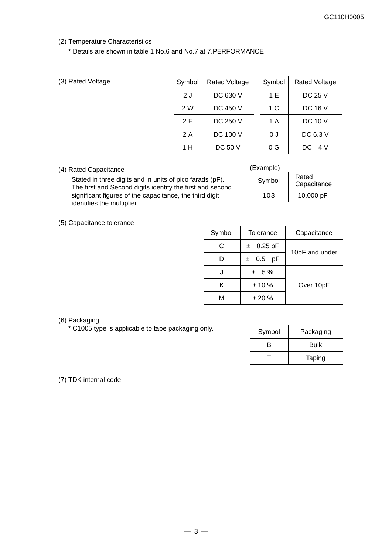#### (2) Temperature Characteristics

\* Details are shown in table 1 No.6 and No.7 at 7.PERFORMANCE

|  |  | (3) Rated Voltage |
|--|--|-------------------|
|--|--|-------------------|

| (3) Rated Voltage | Symbol | <b>Rated Voltage</b> | Symbol         | <b>Rated Voltage</b> |
|-------------------|--------|----------------------|----------------|----------------------|
|                   | 2 J    | DC 630 V             | 1 E            | DC 25 V              |
|                   | 2 W    | DC 450 V             | 1 C            | <b>DC 16 V</b>       |
|                   | 2 E    | DC 250 V             | 1 A            | <b>DC 10 V</b>       |
|                   | 2 A    | DC 100 V             | 0 J            | DC 6.3 V             |
|                   | 1 H    | <b>DC 50 V</b>       | 0 <sup>G</sup> | DC 4 V               |

#### (4) Rated Capacitance

(Example)

Stated in three digits and in units of pico farads (pF). The first and Second digits identify the first and second significant figures of the capacitance, the third digit identifies the multiplier.

| $L_A$ anipic) |                      |
|---------------|----------------------|
| Symbol        | Rated<br>Capacitance |
| 103           | 10,000 pF            |
|               |                      |

(5) Capacitance tolerance

| Symbol | Tolerance          | Capacitance    |
|--------|--------------------|----------------|
| C      | $0.25$ pF<br>$\pm$ |                |
| D      | $0.5$ pF<br>±.     | 10pF and under |
|        | $± 5\%$            |                |
| ĸ      | ± 10%              | Over 10pF      |
| м      | ± 20%              |                |

#### (6) Packaging

 $*$  C1005 type is applicable to tape packaging only.

| Symbol | Packaging |
|--------|-----------|
| R      | Bulk      |
|        | Taping    |

#### (7) TDK internal code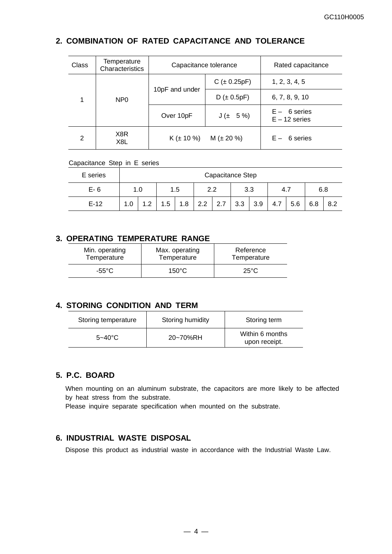## **2. COMBINATION OF RATED CAPACITANCE AND TOLERANCE**

| Class | Temperature<br>Characteristics | Capacitance tolerance |                  | Rated capacitance                 |
|-------|--------------------------------|-----------------------|------------------|-----------------------------------|
|       |                                |                       | $C (\pm 0.25pF)$ | 1, 2, 3, 4, 5                     |
| 1     | N <sub>P</sub> <sub>0</sub>    | 10pF and under        | $D (\pm 0.5pF)$  | 6, 7, 8, 9, 10                    |
|       |                                | Over 10pF             | $J(± 5\%)$       | $E - 6$ series<br>$E - 12$ series |
| 2     | X8R<br>X8L                     | $K (\pm 10 \%)$       | $M (\pm 20 \%)$  | $E - 6$ series                    |

#### Capacitance Step in E series

| E series |     | Capacitance Step |     |     |     |           |     |     |      |     |     |     |
|----------|-----|------------------|-----|-----|-----|-----------|-----|-----|------|-----|-----|-----|
| $E - 6$  |     |                  | 1.5 |     |     | っっ<br>3.3 |     |     | 4. . |     | 6.8 |     |
| $E-12$   | 1.0 | 1.2              | 1.5 | 1.8 | 2.2 | 2.7       | 3.3 | 3.9 | 4.7  | 5.6 | 6.8 | 8.2 |

## **3. OPERATING TEMPERATURE RANGE**

| Min. operating | Max. operating | Reference      |
|----------------|----------------|----------------|
| Temperature    | Temperature    | Temperature    |
| -55°C          | 150°C          | $25^{\circ}$ C |

## **4. STORING CONDITION AND TERM**

| Storing temperature | Storing humidity | Storing term                     |
|---------------------|------------------|----------------------------------|
| $5 - 40^{\circ}$ C  | 20~70%RH         | Within 6 months<br>upon receipt. |

## **5. P.C. BOARD**

When mounting on an aluminum substrate, the capacitors are more likely to be affected by heat stress from the substrate.

Please inquire separate specification when mounted on the substrate.

## **6. INDUSTRIAL WASTE DISPOSAL**

Dispose this product as industrial waste in accordance with the Industrial Waste Law.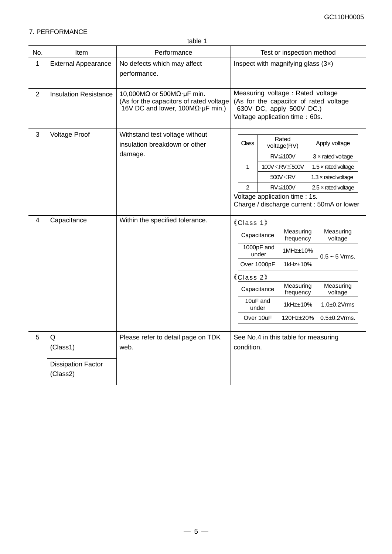#### 7. PERFORMANCE

|                |                                            | table 1                                                                                                                           |                                      |                   |                                                                                                  |  |                                            |
|----------------|--------------------------------------------|-----------------------------------------------------------------------------------------------------------------------------------|--------------------------------------|-------------------|--------------------------------------------------------------------------------------------------|--|--------------------------------------------|
| No.            | Item                                       | Performance                                                                                                                       | Test or inspection method            |                   |                                                                                                  |  |                                            |
| 1              | <b>External Appearance</b>                 | No defects which may affect<br>performance.                                                                                       | Inspect with magnifying glass $(3x)$ |                   |                                                                                                  |  |                                            |
| $\overline{2}$ | <b>Insulation Resistance</b>               | 10,000M $\Omega$ or 500M $\Omega$ · µF min.<br>(As for the capacitors of rated voltage<br>16V DC and lower, $100M\Omega$ µF min.) |                                      |                   | Measuring voltage : Rated voltage<br>630V DC, apply 500V DC.)<br>Voltage application time : 60s. |  | (As for the capacitor of rated voltage     |
| 3              | <b>Voltage Proof</b>                       | Withstand test voltage without<br>insulation breakdown or other                                                                   | <b>Class</b>                         |                   | Rated<br>voltage(RV)                                                                             |  | Apply voltage                              |
|                |                                            | damage.                                                                                                                           |                                      |                   | RV≦100V                                                                                          |  | $3 \times$ rated voltage                   |
|                |                                            |                                                                                                                                   | 1                                    |                   | 100V <rv≦500v< td=""><td></td><td>1.5 <math>\times</math> rated voltage</td></rv≦500v<>          |  | 1.5 $\times$ rated voltage                 |
|                |                                            |                                                                                                                                   |                                      |                   | 500V <rv< td=""><td></td><td><math>1.3 \times</math> rated voltage</td></rv<>                    |  | $1.3 \times$ rated voltage                 |
|                |                                            |                                                                                                                                   | $\overline{2}$                       |                   | $RV \leq 100V$                                                                                   |  | $2.5 \times$ rated voltage                 |
|                |                                            |                                                                                                                                   |                                      |                   | Voltage application time : 1s.                                                                   |  | Charge / discharge current : 50mA or lower |
| 4              | Capacitance                                | Within the specified tolerance.                                                                                                   | 《Class 1》                            |                   |                                                                                                  |  |                                            |
|                |                                            |                                                                                                                                   |                                      | Capacitance       | Measuring<br>frequency                                                                           |  | Measuring<br>voltage                       |
|                |                                            |                                                                                                                                   | 1000pF and<br>under                  |                   | $1$ MHz $\pm$ 10%                                                                                |  | $0.5 - 5$ Vrms.                            |
|                |                                            |                                                                                                                                   |                                      | Over 1000pF       | 1kHz±10%                                                                                         |  |                                            |
|                |                                            |                                                                                                                                   | 《Class 2》                            |                   |                                                                                                  |  |                                            |
|                |                                            |                                                                                                                                   |                                      | Capacitance       | Measuring<br>frequency                                                                           |  | Measuring<br>voltage                       |
|                |                                            |                                                                                                                                   |                                      | 10uF and<br>under | 1kHz±10%                                                                                         |  | $1.0\pm0.2$ Vrms                           |
|                |                                            |                                                                                                                                   |                                      | Over 10uF         | 120Hz±20%                                                                                        |  | $0.5\pm0.2$ Vrms.                          |
| 5              | Q<br>(Class1)<br><b>Dissipation Factor</b> | Please refer to detail page on TDK<br>web.                                                                                        | condition.                           |                   | See No.4 in this table for measuring                                                             |  |                                            |
|                | (Class2)                                   |                                                                                                                                   |                                      |                   |                                                                                                  |  |                                            |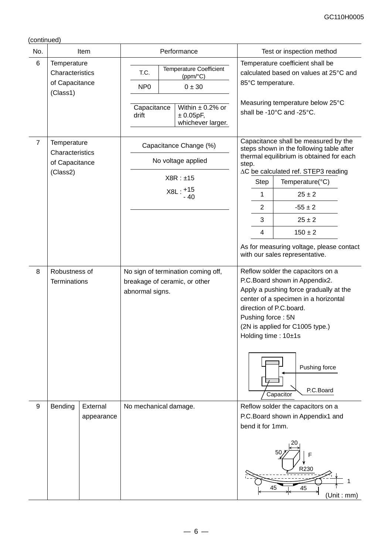| No.            |                                                              | Item                   |                                                 | Performance                                                                                                    | Test or inspection method                                            |                                                                                                                                                                                                                                                                                                                                |  |  |
|----------------|--------------------------------------------------------------|------------------------|-------------------------------------------------|----------------------------------------------------------------------------------------------------------------|----------------------------------------------------------------------|--------------------------------------------------------------------------------------------------------------------------------------------------------------------------------------------------------------------------------------------------------------------------------------------------------------------------------|--|--|
| 6              | Temperature<br>Characteristics<br>of Capacitance<br>(Class1) |                        | T.C.<br>NP <sub>0</sub><br>Capacitance<br>drift | <b>Temperature Coefficient</b><br>(ppm/°C)<br>0 ± 30<br>Within $\pm$ 0.2% or<br>± 0.05pF,<br>whichever larger. | 85°C temperature.                                                    | Temperature coefficient shall be<br>calculated based on values at 25°C and<br>Measuring temperature below 25°C<br>shall be -10°C and -25°C.                                                                                                                                                                                    |  |  |
| $\overline{7}$ | Temperature<br>Characteristics<br>of Capacitance<br>(Class2) |                        |                                                 | Capacitance Change (%)<br>No voltage applied<br>X8R : ±15<br>$X8L: +15$<br>$-40$                               | step.<br>Step<br>1<br>$\overline{2}$<br>3<br>$\overline{\mathbf{4}}$ | Capacitance shall be measured by the<br>steps shown in the following table after<br>thermal equilibrium is obtained for each<br>∆C be calculated ref. STEP3 reading<br>Temperature(°C)<br>$25 \pm 2$<br>$-55 \pm 2$<br>$25 \pm 2$<br>$150 \pm 2$<br>As for measuring voltage, please contact<br>with our sales representative. |  |  |
| $\,8\,$        | Robustness of<br>Terminations                                |                        |                                                 | No sign of termination coming off,<br>breakage of ceramic, or other<br>abnormal signs.                         |                                                                      | Reflow solder the capacitors on a<br>P.C.Board shown in Appendix2.<br>Apply a pushing force gradually at the<br>center of a specimen in a horizontal<br>direction of P.C.board.<br>Pushing force: 5N<br>(2N is applied for C1005 type.)<br>Holding time: 10±1s<br>Pushing force<br>P.C.Board<br>Capacitor                      |  |  |
| 9              | Bending                                                      | External<br>appearance |                                                 | No mechanical damage.                                                                                          | bend it for 1mm.                                                     | Reflow solder the capacitors on a<br>P.C.Board shown in Appendix1 and<br>F<br>R230<br>45<br>45<br>(Unit: mm)                                                                                                                                                                                                                   |  |  |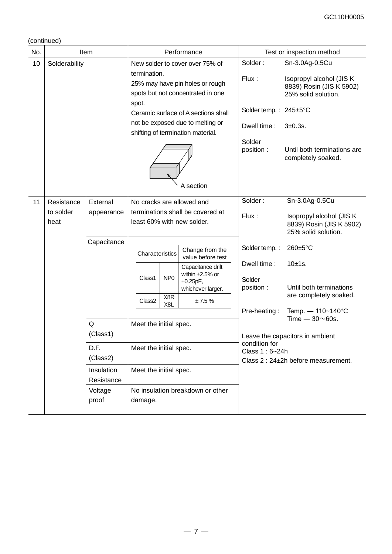| No. |                   | Item                                                                                                                    |                        |                        | Performance                                                                 |                                     | Test or inspection method                                                                      |
|-----|-------------------|-------------------------------------------------------------------------------------------------------------------------|------------------------|------------------------|-----------------------------------------------------------------------------|-------------------------------------|------------------------------------------------------------------------------------------------|
| 10  | Solderability     | New solder to cover over 75% of<br>termination.<br>25% may have pin holes or rough<br>spots but not concentrated in one |                        |                        |                                                                             |                                     | Sn-3.0Ag-0.5Cu<br>Isopropyl alcohol (JIS K)<br>8839) Rosin (JIS K 5902)<br>25% solid solution. |
|     |                   |                                                                                                                         | spot.                  |                        | Ceramic surface of A sections shall                                         | Solder temp.: 245±5°C               |                                                                                                |
|     |                   |                                                                                                                         |                        |                        | not be exposed due to melting or<br>shifting of termination material.       | Dwell time:                         | $3 + 0.3$ s.                                                                                   |
|     |                   |                                                                                                                         |                        |                        | A section                                                                   | Solder<br>position :                | Until both terminations are<br>completely soaked.                                              |
| 11  | Resistance        | External                                                                                                                |                        |                        | No cracks are allowed and                                                   | Solder:                             | Sn-3.0Ag-0.5Cu                                                                                 |
|     | to solder<br>heat | appearance                                                                                                              |                        |                        | terminations shall be covered at<br>least 60% with new solder.              | Flux:                               | Isopropyl alcohol (JIS K<br>8839) Rosin (JIS K 5902)<br>25% solid solution.                    |
|     |                   | Capacitance                                                                                                             |                        |                        |                                                                             |                                     |                                                                                                |
|     |                   |                                                                                                                         | Characteristics        |                        | Change from the<br>value before test                                        | Solder temp.:                       | 260±5°C                                                                                        |
|     |                   |                                                                                                                         | Class1                 | NP <sub>0</sub>        | Capacitance drift<br>within $\pm 2.5\%$ or<br>±0.25pF,<br>whichever larger. | Dwell time:<br>Solder<br>position : | 10±1s.<br>Until both terminations                                                              |
|     |                   |                                                                                                                         | Class <sub>2</sub>     | X8R<br>X8L             | $\pm 7.5$ %                                                                 |                                     | are completely soaked.                                                                         |
|     |                   |                                                                                                                         |                        |                        |                                                                             | Pre-heating:                        | Temp. - 110~140°C<br>Time $-30\nu$ 60s.                                                        |
|     |                   | Q                                                                                                                       | Meet the initial spec. |                        |                                                                             |                                     |                                                                                                |
|     |                   | (Class1)                                                                                                                |                        |                        |                                                                             | condition for                       | Leave the capacitors in ambient                                                                |
|     |                   | D.F.<br>(Class2)                                                                                                        | Meet the initial spec. |                        | Class 1:6~24h                                                               | Class 2: 24±2h before measurement.  |                                                                                                |
|     |                   | Insulation<br>Resistance                                                                                                |                        | Meet the initial spec. |                                                                             |                                     |                                                                                                |
|     |                   | No insulation breakdown or other<br>Voltage<br>proof<br>damage.                                                         |                        |                        |                                                                             |                                     |                                                                                                |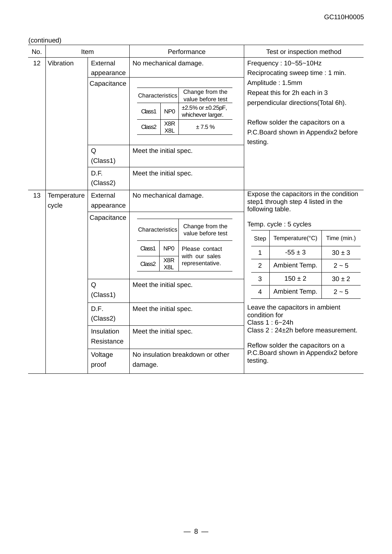| No. | Item                 |                                                    | Performance                               |                                                         |                                        |                                                                          | Test or inspection method                                                                        |             |  |
|-----|----------------------|----------------------------------------------------|-------------------------------------------|---------------------------------------------------------|----------------------------------------|--------------------------------------------------------------------------|--------------------------------------------------------------------------------------------------|-------------|--|
| 12  | Vibration            | External                                           | No mechanical damage.                     |                                                         |                                        |                                                                          | Frequency: 10~55~10Hz                                                                            |             |  |
|     |                      | appearance                                         |                                           |                                                         |                                        | Reciprocating sweep time : 1 min.                                        |                                                                                                  |             |  |
|     |                      | Capacitance                                        |                                           |                                                         |                                        |                                                                          | Amplitude: 1.5mm                                                                                 |             |  |
|     |                      |                                                    |                                           | Change from the<br>Characteristics<br>value before test |                                        |                                                                          | Repeat this for 2h each in 3<br>perpendicular directions(Total 6h).                              |             |  |
|     |                      |                                                    | Class1                                    | NP <sub>0</sub>                                         | ±2.5% or ±0.25pF,<br>whichever larger. |                                                                          |                                                                                                  |             |  |
|     |                      |                                                    | X8R<br>±7.5%<br>Class <sub>2</sub><br>X8L |                                                         |                                        | Reflow solder the capacitors on a<br>P.C.Board shown in Appendix2 before |                                                                                                  |             |  |
|     |                      |                                                    |                                           |                                                         |                                        | testing.                                                                 |                                                                                                  |             |  |
|     |                      | Q<br>(Class1)                                      | Meet the initial spec.                    |                                                         |                                        |                                                                          |                                                                                                  |             |  |
|     |                      | D.F.<br>(Class2)                                   | Meet the initial spec.                    |                                                         |                                        |                                                                          |                                                                                                  |             |  |
| 13  | Temperature<br>cycle | External<br>appearance                             | No mechanical damage.                     |                                                         |                                        |                                                                          | Expose the capacitors in the condition<br>step1 through step 4 listed in the<br>following table. |             |  |
|     |                      | Capacitance                                        |                                           |                                                         |                                        |                                                                          |                                                                                                  |             |  |
|     |                      |                                                    |                                           |                                                         | Change from the                        |                                                                          | Temp. cycle: 5 cycles                                                                            |             |  |
|     |                      |                                                    | Characteristics                           |                                                         | value before test                      | Step                                                                     | Temperature(°C)                                                                                  | Time (min.) |  |
|     |                      |                                                    | Class1                                    | NP <sub>0</sub><br>X8R                                  | Please contact<br>with our sales       | 1                                                                        | $-55 \pm 3$                                                                                      | $30 \pm 3$  |  |
|     |                      |                                                    | Class <sub>2</sub>                        | X <sub>8</sub> L                                        | representative.                        | $\overline{2}$                                                           | Ambient Temp.                                                                                    | $2 - 5$     |  |
|     |                      | Q                                                  |                                           |                                                         |                                        | 3                                                                        | $150 \pm 2$                                                                                      | $30 \pm 2$  |  |
|     |                      | (Class1)                                           |                                           | Meet the initial spec.                                  |                                        | 4                                                                        | Ambient Temp.                                                                                    | $2 - 5$     |  |
|     |                      | D.F.<br>(Class2)                                   |                                           | Meet the initial spec.                                  |                                        |                                                                          | Leave the capacitors in ambient<br>condition for<br>Class 1:6~24h                                |             |  |
|     |                      | Insulation<br>Meet the initial spec.<br>Resistance |                                           |                                                         |                                        | Class 2 : 24±2h before measurement.                                      |                                                                                                  |             |  |
|     |                      | Voltage<br>proof                                   | damage.                                   | No insulation breakdown or other                        |                                        |                                                                          | Reflow solder the capacitors on a<br>P.C.Board shown in Appendix2 before<br>testing.             |             |  |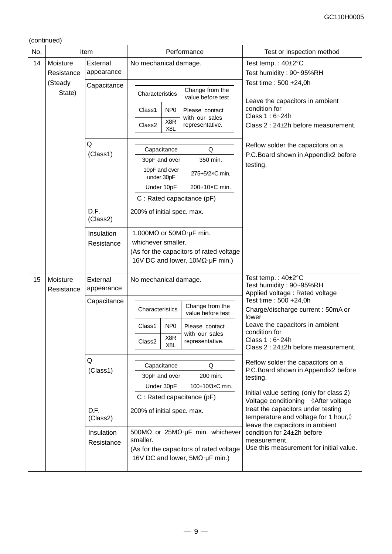| No. |                          | Item                     | Performance                                                     |                             |  |                                                                                                                                                | Test or inspection method                                                                                     |  |  |  |
|-----|--------------------------|--------------------------|-----------------------------------------------------------------|-----------------------------|--|------------------------------------------------------------------------------------------------------------------------------------------------|---------------------------------------------------------------------------------------------------------------|--|--|--|
| 14  | Moisture<br>Resistance   | External<br>appearance   | No mechanical damage.                                           |                             |  |                                                                                                                                                | Test temp.: $40\pm2^{\circ}C$<br>Test humidity: 90~95%RH                                                      |  |  |  |
|     | (Steady<br>State)        | Capacitance              | Characteristics                                                 |                             |  | Change from the<br>value before test                                                                                                           | Test time: 500 +24,0h<br>Leave the capacitors in ambient                                                      |  |  |  |
|     |                          |                          | Class1<br>Class2                                                | NP <sub>0</sub><br>X8R      |  | Please contact<br>with our sales<br>representative.                                                                                            | condition for<br>Class 1:6~24h<br>Class 2 : 24±2h before measurement.                                         |  |  |  |
|     |                          |                          |                                                                 | X <sub>8</sub> L            |  |                                                                                                                                                |                                                                                                               |  |  |  |
|     |                          | Q<br>(Class1)            | Capacitance                                                     |                             |  | Q                                                                                                                                              | Reflow solder the capacitors on a<br>P.C. Board shown in Appendix2 before                                     |  |  |  |
|     |                          |                          | 30pF and over                                                   |                             |  | 350 min.                                                                                                                                       | testing.                                                                                                      |  |  |  |
|     |                          |                          | under 30pF                                                      | 10pF and over               |  | 275+5/2×C min.                                                                                                                                 |                                                                                                               |  |  |  |
|     |                          |                          | Under 10pF                                                      |                             |  | 200+10×C min.                                                                                                                                  |                                                                                                               |  |  |  |
|     |                          |                          | C: Rated capacitance (pF)                                       |                             |  |                                                                                                                                                |                                                                                                               |  |  |  |
|     |                          | D.F.<br>(Class2)         | 200% of initial spec. max.                                      |                             |  |                                                                                                                                                |                                                                                                               |  |  |  |
|     | Insulation<br>Resistance |                          | 1,000M $\Omega$ or 50M $\Omega$ · µF min.<br>whichever smaller. |                             |  | (As for the capacitors of rated voltage<br>16V DC and lower, $10M\Omega \cdot \mu F$ min.)                                                     |                                                                                                               |  |  |  |
| 15  | Moisture<br>Resistance   | External<br>appearance   |                                                                 | No mechanical damage.       |  |                                                                                                                                                | Test temp.: 40±2°C<br>Test humidity: 90~95%RH<br>Applied voltage: Rated voltage                               |  |  |  |
|     |                          | Capacitance              | Characteristics                                                 |                             |  | Change from the<br>value before test                                                                                                           | Test time: 500 +24,0h<br>Charge/discharge current: 50mA or<br>lower                                           |  |  |  |
|     |                          |                          | Class1                                                          | N <sub>P</sub> <sub>0</sub> |  | Please contact                                                                                                                                 | Leave the capacitors in ambient<br>condition for                                                              |  |  |  |
|     |                          |                          | Class <sub>2</sub>                                              | X8R<br>X <sub>8L</sub>      |  | with our sales<br>representative.                                                                                                              | Class 1:6~24h<br>Class 2 : 24±2h before measurement.                                                          |  |  |  |
|     |                          | Q                        |                                                                 |                             |  |                                                                                                                                                | Reflow solder the capacitors on a                                                                             |  |  |  |
|     |                          | (Class1)                 | Capacitance                                                     |                             |  | Q                                                                                                                                              | P.C. Board shown in Appendix2 before                                                                          |  |  |  |
|     |                          |                          | 30pF and over                                                   |                             |  | 200 min.                                                                                                                                       | testing.                                                                                                      |  |  |  |
|     |                          |                          | Under 30pF                                                      |                             |  | 100+10/3xC min.                                                                                                                                | Initial value setting (only for class 2)                                                                      |  |  |  |
|     |                          |                          | C : Rated capacitance (pF)                                      |                             |  |                                                                                                                                                | Voltage conditioning 《After voltage                                                                           |  |  |  |
|     |                          | D.F.<br>(Class2)         | 200% of initial spec. max.                                      |                             |  |                                                                                                                                                | treat the capacitors under testing<br>temperature and voltage for 1 hour,)<br>leave the capacitors in ambient |  |  |  |
|     |                          | Insulation<br>Resistance | smaller.                                                        |                             |  | 500M $\Omega$ or 25M $\Omega$ · µF min. whichever<br>(As for the capacitors of rated voltage<br>16V DC and lower, $5M\Omega \cdot \mu F$ min.) | condition for 24±2h before<br>measurement.<br>Use this measurement for initial value.                         |  |  |  |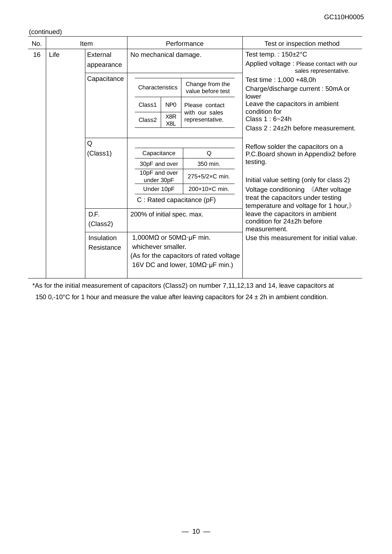| No. |      | Item                     |  |                                                                                                                                                               |                         | Performance                          | Test or inspection method                                                                              |               |                                     |
|-----|------|--------------------------|--|---------------------------------------------------------------------------------------------------------------------------------------------------------------|-------------------------|--------------------------------------|--------------------------------------------------------------------------------------------------------|---------------|-------------------------------------|
| 16  | Life | External<br>appearance   |  | No mechanical damage.                                                                                                                                         |                         |                                      | Test temp.: $150 \pm 2^{\circ}$ C<br>Applied voltage: Please contact with our<br>sales representative. |               |                                     |
|     |      | Capacitance              |  | Characteristics                                                                                                                                               |                         | Change from the<br>value before test | Test time: 1,000 +48,0h<br>Charge/discharge current: 50mA or<br>lower                                  |               |                                     |
|     |      |                          |  | Class1                                                                                                                                                        | NP <sub>0</sub>         | Please contact                       | Leave the capacitors in ambient                                                                        |               |                                     |
|     |      |                          |  | Class <sub>2</sub>                                                                                                                                            | X8R<br>X <sub>8</sub> L | with our sales<br>representative.    | condition for<br>Class 1:6~24h                                                                         |               |                                     |
|     |      |                          |  |                                                                                                                                                               |                         |                                      | Class 2: 24±2h before measurement.                                                                     |               |                                     |
|     |      | Q                        |  |                                                                                                                                                               |                         |                                      | Reflow solder the capacitors on a                                                                      |               |                                     |
|     |      | (Class1)                 |  | Capacitance                                                                                                                                                   |                         | Q                                    | P.C. Board shown in Appendix2 before                                                                   |               |                                     |
|     |      |                          |  | 30pF and over                                                                                                                                                 |                         | 350 min.                             | testing.                                                                                               |               |                                     |
|     |      |                          |  | 10pF and over<br>under 30pF                                                                                                                                   |                         | 275+5/2×C min.                       | Initial value setting (only for class 2)                                                               |               |                                     |
|     |      |                          |  |                                                                                                                                                               | Under 10pF              |                                      |                                                                                                        | 200+10×C min. | Voltage conditioning 《After voltage |
|     |      |                          |  |                                                                                                                                                               |                         | C: Rated capacitance (pF)            | treat the capacitors under testing<br>temperature and voltage for 1 hour,)                             |               |                                     |
|     |      | D.F.                     |  |                                                                                                                                                               |                         | 200% of initial spec. max.           | leave the capacitors in ambient                                                                        |               |                                     |
|     |      | (Class2)                 |  |                                                                                                                                                               |                         |                                      | condition for 24±2h before<br>measurement.                                                             |               |                                     |
|     |      | Insulation<br>Resistance |  | 1,000M $\Omega$ or 50M $\Omega$ · µF min.<br>whichever smaller.<br>(As for the capacitors of rated voltage<br>16V DC and lower, $10M\Omega \cdot \mu F$ min.) |                         |                                      | Use this measurement for initial value.                                                                |               |                                     |
|     |      |                          |  |                                                                                                                                                               |                         |                                      |                                                                                                        |               |                                     |

\*As for the initial measurement of capacitors (Class2) on number 7,11,12,13 and 14, leave capacitors at

150 0,-10°C for 1 hour and measure the value after leaving capacitors for  $24 \pm 2h$  in ambient condition.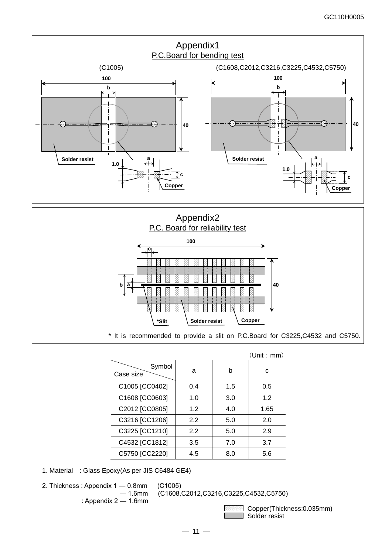



\* It is recommended to provide a slit on P.C.Board for C3225,C4532 and C5750.

|                     |     |     | (Unit : mm) |
|---------------------|-----|-----|-------------|
| Symbol<br>Case size | a   | h   | c           |
| C1005 [CC0402]      | 0.4 | 1.5 | 0.5         |
| C1608 [CC0603]      | 1.0 | 3.0 | 1.2         |
| C2012 [CC0805]      | 1.2 | 4.0 | 1.65        |
| C3216 [CC1206]      | 2.2 | 5.0 | 2.0         |
| C3225 [CC1210]      | 2.2 | 5.0 | 2.9         |
| C4532 [CC1812]      | 3.5 | 7.0 | 3.7         |
| C5750 [CC2220]      | 4.5 | 8.0 | 5.6         |
|                     |     |     |             |

1. Material : Glass Epoxy(As per JIS C6484 GE4)

2. Thickness : Appendix 1 — 0.8mm (C1005)<br>
– 1.6mm (C1608,

(C1608,C2012,C3216,C3225,C4532,C5750)

: Appendix 2 ― 1.6mm

 Copper(Thickness:0.035mm) Solder resist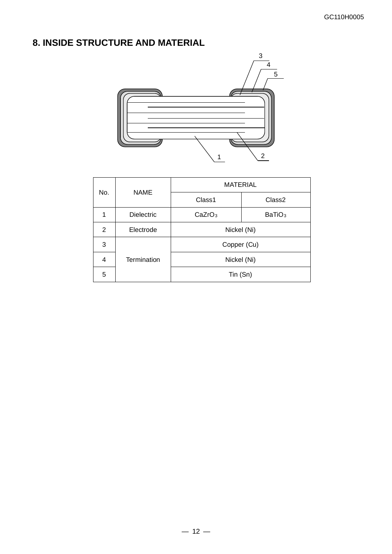# **8. INSIDE STRUCTURE AND MATERIAL**



|                | <b>NAME</b>       | <b>MATERIAL</b>                          |                    |  |  |  |  |
|----------------|-------------------|------------------------------------------|--------------------|--|--|--|--|
| No.            |                   | Class1                                   | Class <sub>2</sub> |  |  |  |  |
|                | <b>Dielectric</b> | CaZrO <sub>3</sub><br>BaTiO <sub>3</sub> |                    |  |  |  |  |
| $\overline{2}$ | Electrode         | Nickel (Ni)                              |                    |  |  |  |  |
| 3              |                   | Copper (Cu)                              |                    |  |  |  |  |
| 4              | Termination       | Nickel (Ni)                              |                    |  |  |  |  |
| 5              |                   | Tin (Sn)                                 |                    |  |  |  |  |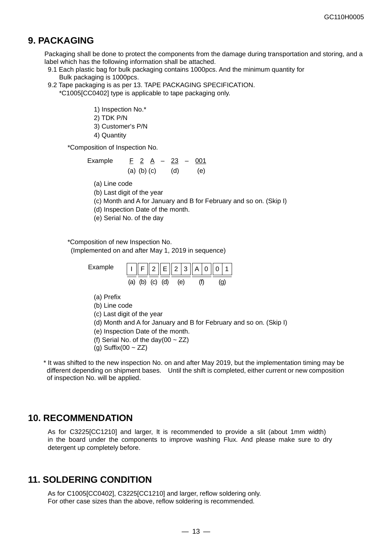## **9. PACKAGING**

Packaging shall be done to protect the components from the damage during transportation and storing, and a label which has the following information shall be attached.

- 9.1 Each plastic bag for bulk packaging contains 1000pcs. And the minimum quantity for Bulk packaging is 1000pcs.
- 9.2 Tape packaging is as per 13. TAPE PACKAGING SPECIFICATION.

\*C1005[CC0402] type is applicable to tape packaging only.

- 1) Inspection No.\*
- 2) TDK P/N
- 3) Customer's P/N
- 4) Quantity

\*Composition of Inspection No.

Example 
$$
\underline{F} \; 2 \; \underline{A} \; - \; 23 \; - \; 001
$$
  
(a) (b) (c) (d) (e)

(a) Line code

- (b) Last digit of the year
- (c) Month and A for January and B for February and so on. (Skip I)
- (d) Inspection Date of the month.
- (e) Serial No. of the day

\*Composition of new Inspection No.

(Implemented on and after May 1, 2019 in sequence)

Example

| $\vert \underline{\mid \cdot \mid} \vert F \Vert 2 \Vert E \Vert 2 \vert 3 \Vert A \vert 0 \Vert \underline{\mid}$ |     |  |  | 0 <sub>1</sub> |  |
|--------------------------------------------------------------------------------------------------------------------|-----|--|--|----------------|--|
| (b)                                                                                                                | (C) |  |  |                |  |

- (a) Prefix
- (b) Line code
- (c) Last digit of the year
- (d) Month and A for January and B for February and so on. (Skip I)
- (e) Inspection Date of the month.
- (f) Serial No. of the day(00  $\sim$  ZZ)
- (g) Suffix(00  $\sim$  ZZ)

\* It was shifted to the new inspection No. on and after May 2019, but the implementation timing may be different depending on shipment bases. Until the shift is completed, either current or new composition of inspection No. will be applied.

## **10. RECOMMENDATION**

As for C3225[CC1210] and larger, It is recommended to provide a slit (about 1mm width) in the board under the components to improve washing Flux. And please make sure to dry detergent up completely before.

## **11. SOLDERING CONDITION**

As for C1005[CC0402], C3225[CC1210] and larger, reflow soldering only. For other case sizes than the above, reflow soldering is recommended.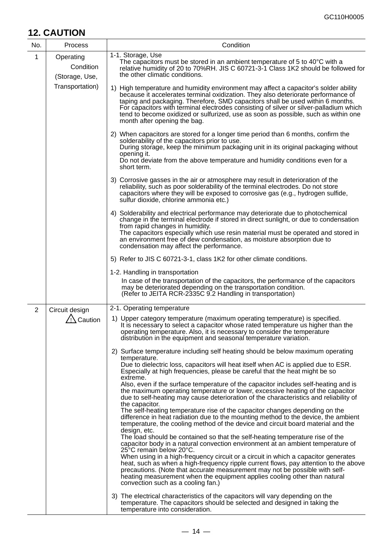## **12. CAUTION**

| No.            | Process                                  | Condition                                                                                                                                                                                                                                                                                                                                                                                                                                                                   |
|----------------|------------------------------------------|-----------------------------------------------------------------------------------------------------------------------------------------------------------------------------------------------------------------------------------------------------------------------------------------------------------------------------------------------------------------------------------------------------------------------------------------------------------------------------|
| 1              | Operating<br>Condition<br>(Storage, Use, | 1-1. Storage, Use<br>The capacitors must be stored in an ambient temperature of 5 to 40°C with a<br>relative humidity of 20 to 70%RH. JIS C 60721-3-1 Class 1K2 should be followed for<br>the other climatic conditions.                                                                                                                                                                                                                                                    |
|                | Transportation)                          | 1) High temperature and humidity environment may affect a capacitor's solder ability<br>because it accelerates terminal oxidization. They also deteriorate performance of<br>taping and packaging. Therefore, SMD capacitors shall be used within 6 months.<br>For capacitors with terminal electrodes consisting of silver or silver-palladium which<br>tend to become oxidized or sulfurized, use as soon as possible, such as within one<br>month after opening the bag. |
|                |                                          | 2) When capacitors are stored for a longer time period than 6 months, confirm the<br>solderability of the capacitors prior to use.<br>During storage, keep the minimum packaging unit in its original packaging without<br>opening it.<br>Do not deviate from the above temperature and humidity conditions even for a<br>short term.                                                                                                                                       |
|                |                                          | 3) Corrosive gasses in the air or atmosphere may result in deterioration of the<br>reliability, such as poor solderability of the terminal electrodes. Do not store<br>capacitors where they will be exposed to corrosive gas (e.g., hydrogen sulfide,<br>sulfur dioxide, chlorine ammonia etc.)                                                                                                                                                                            |
|                |                                          | 4) Solderability and electrical performance may deteriorate due to photochemical<br>change in the terminal electrode if stored in direct sunlight, or due to condensation<br>from rapid changes in humidity.<br>The capacitors especially which use resin material must be operated and stored in<br>an environment free of dew condensation, as moisture absorption due to<br>condensation may affect the performance.                                                     |
|                |                                          | 5) Refer to JIS C 60721-3-1, class 1K2 for other climate conditions.                                                                                                                                                                                                                                                                                                                                                                                                        |
|                |                                          | 1-2. Handling in transportation<br>In case of the transportation of the capacitors, the performance of the capacitors<br>may be deteriorated depending on the transportation condition.<br>(Refer to JEITA RCR-2335C 9.2 Handling in transportation)                                                                                                                                                                                                                        |
| $\overline{2}$ | Circuit design                           | 2-1. Operating temperature                                                                                                                                                                                                                                                                                                                                                                                                                                                  |
|                | $\sqrt{2}$ Caution                       | 1) Upper category temperature (maximum operating temperature) is specified.<br>It is necessary to select a capacitor whose rated temperature us higher than the<br>operating temperature. Also, it is necessary to consider the temperature<br>distribution in the equipment and seasonal temperature variation.                                                                                                                                                            |
|                |                                          | 2) Surface temperature including self heating should be below maximum operating<br>temperature.                                                                                                                                                                                                                                                                                                                                                                             |
|                |                                          | Due to dielectric loss, capacitors will heat itself when AC is applied due to ESR.<br>Especially at high frequencies, please be careful that the heat might be so                                                                                                                                                                                                                                                                                                           |
|                |                                          | extreme.<br>Also, even if the surface temperature of the capacitor includes self-heating and is<br>the maximum operating temperature or lower, excessive heating of the capacitor<br>due to self-heating may cause deterioration of the characteristics and reliability of<br>the capacitor.                                                                                                                                                                                |
|                |                                          | The self-heating temperature rise of the capacitor changes depending on the<br>difference in heat radiation due to the mounting method to the device, the ambient<br>temperature, the cooling method of the device and circuit board material and the<br>design, etc.                                                                                                                                                                                                       |
|                |                                          | The load should be contained so that the self-heating temperature rise of the<br>capacitor body in a natural convection environment at an ambient temperature of<br>25°C remain below 20°C.<br>When using in a high-frequency circuit or a circuit in which a capacitor generates                                                                                                                                                                                           |
|                |                                          | heat, such as when a high-frequency ripple current flows, pay attention to the above<br>precautions. (Note that accurate measurement may not be possible with self-<br>heating measurement when the equipment applies cooling other than natural<br>convection such as a cooling fan.)                                                                                                                                                                                      |
|                |                                          | 3) The electrical characteristics of the capacitors will vary depending on the<br>temperature. The capacitors should be selected and designed in taking the<br>temperature into consideration.                                                                                                                                                                                                                                                                              |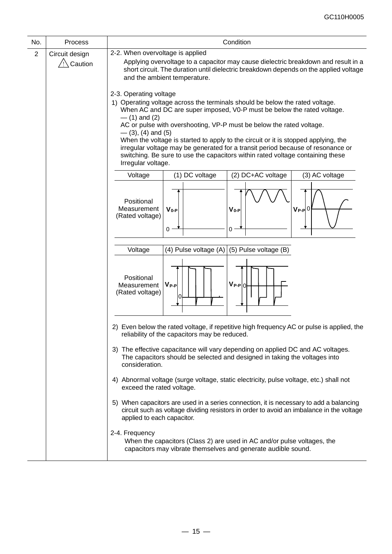| No.                                                                                                                                                                                                                                                                                                                                     | Process                              | Condition                                                                                                                                                                                                                                                                                                                                                                                                                                                                                                                                                                             |  |  |  |  |
|-----------------------------------------------------------------------------------------------------------------------------------------------------------------------------------------------------------------------------------------------------------------------------------------------------------------------------------------|--------------------------------------|---------------------------------------------------------------------------------------------------------------------------------------------------------------------------------------------------------------------------------------------------------------------------------------------------------------------------------------------------------------------------------------------------------------------------------------------------------------------------------------------------------------------------------------------------------------------------------------|--|--|--|--|
| $\overline{2}$                                                                                                                                                                                                                                                                                                                          | Circuit design<br>$\sqrt{2}$ Caution | 2-2. When overvoltage is applied<br>Applying overvoltage to a capacitor may cause dielectric breakdown and result in a<br>short circuit. The duration until dielectric breakdown depends on the applied voltage<br>and the ambient temperature.                                                                                                                                                                                                                                                                                                                                       |  |  |  |  |
|                                                                                                                                                                                                                                                                                                                                         |                                      | 2-3. Operating voltage<br>1) Operating voltage across the terminals should be below the rated voltage.<br>When AC and DC are super imposed, V0-P must be below the rated voltage.<br>$-$ (1) and (2)<br>AC or pulse with overshooting, VP-P must be below the rated voltage.<br>$-$ (3), (4) and (5)<br>When the voltage is started to apply to the circuit or it is stopped applying, the<br>irregular voltage may be generated for a transit period because of resonance or<br>switching. Be sure to use the capacitors within rated voltage containing these<br>Irregular voltage. |  |  |  |  |
|                                                                                                                                                                                                                                                                                                                                         |                                      | Voltage<br>(1) DC voltage<br>(2) DC+AC voltage<br>(3) AC voltage                                                                                                                                                                                                                                                                                                                                                                                                                                                                                                                      |  |  |  |  |
|                                                                                                                                                                                                                                                                                                                                         |                                      | Positional<br>Measurement<br>$V_{0-P}$<br>$V_{0-P}$<br>$V_{P-P}$ 0<br>(Rated voltage)<br>$0^{\circ}$<br>0                                                                                                                                                                                                                                                                                                                                                                                                                                                                             |  |  |  |  |
|                                                                                                                                                                                                                                                                                                                                         |                                      | (4) Pulse voltage (A)<br>(5) Pulse voltage (B)<br>Voltage                                                                                                                                                                                                                                                                                                                                                                                                                                                                                                                             |  |  |  |  |
|                                                                                                                                                                                                                                                                                                                                         |                                      | Positional<br>$V_{P-P} 0 $<br>$V_{P-P}$<br>Measurement<br>(Rated voltage)<br>0                                                                                                                                                                                                                                                                                                                                                                                                                                                                                                        |  |  |  |  |
|                                                                                                                                                                                                                                                                                                                                         |                                      | 2) Even below the rated voltage, if repetitive high frequency AC or pulse is applied, the<br>reliability of the capacitors may be reduced.                                                                                                                                                                                                                                                                                                                                                                                                                                            |  |  |  |  |
|                                                                                                                                                                                                                                                                                                                                         |                                      | 3) The effective capacitance will vary depending on applied DC and AC voltages.<br>The capacitors should be selected and designed in taking the voltages into<br>consideration.                                                                                                                                                                                                                                                                                                                                                                                                       |  |  |  |  |
| 4) Abnormal voltage (surge voltage, static electricity, pulse voltage, etc.) shall not<br>exceed the rated voltage.<br>5) When capacitors are used in a series connection, it is necessary to add a balancing<br>circuit such as voltage dividing resistors in order to avoid an imbalance in the voltage<br>applied to each capacitor. |                                      |                                                                                                                                                                                                                                                                                                                                                                                                                                                                                                                                                                                       |  |  |  |  |
|                                                                                                                                                                                                                                                                                                                                         |                                      |                                                                                                                                                                                                                                                                                                                                                                                                                                                                                                                                                                                       |  |  |  |  |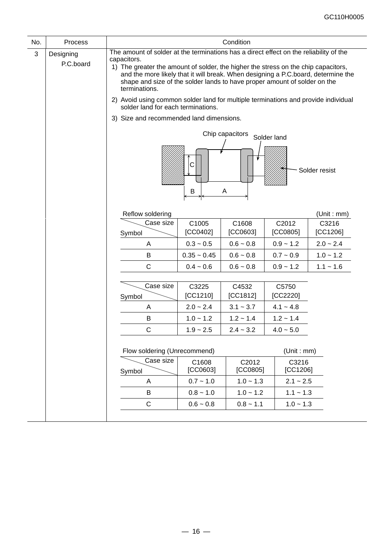| No. | Process                |                                                                                                                                                                                                                                                                                                                                                                                | Condition         |                   |                   |                   |  |  |
|-----|------------------------|--------------------------------------------------------------------------------------------------------------------------------------------------------------------------------------------------------------------------------------------------------------------------------------------------------------------------------------------------------------------------------|-------------------|-------------------|-------------------|-------------------|--|--|
| 3   | Designing<br>P.C.board | The amount of solder at the terminations has a direct effect on the reliability of the<br>capacitors.<br>1) The greater the amount of solder, the higher the stress on the chip capacitors,<br>and the more likely that it will break. When designing a P.C.board, determine the<br>shape and size of the solder lands to have proper amount of solder on the<br>terminations. |                   |                   |                   |                   |  |  |
|     |                        | 2) Avoid using common solder land for multiple terminations and provide individual<br>solder land for each terminations.                                                                                                                                                                                                                                                       |                   |                   |                   |                   |  |  |
|     |                        | 3) Size and recommended land dimensions.                                                                                                                                                                                                                                                                                                                                       |                   |                   |                   |                   |  |  |
|     |                        | Chip capacitors<br>Solder land<br>С<br>Solder resist<br>Α<br>B                                                                                                                                                                                                                                                                                                                 |                   |                   |                   |                   |  |  |
|     |                        | Reflow soldering                                                                                                                                                                                                                                                                                                                                                               |                   |                   |                   | (Unit : mm)       |  |  |
|     |                        | Case size<br>Symbol                                                                                                                                                                                                                                                                                                                                                            | C1005<br>[CC0402] | C1608<br>[CC0603] | C2012<br>[CC0805] | C3216<br>[CC1206] |  |  |
|     |                        | A                                                                                                                                                                                                                                                                                                                                                                              | $0.3 - 0.5$       | $0.6 - 0.8$       | $0.9 - 1.2$       | $2.0 - 2.4$       |  |  |
|     |                        | B                                                                                                                                                                                                                                                                                                                                                                              | $0.35 - 0.45$     | $0.6 - 0.8$       | $0.7 - 0.9$       | $1.0 - 1.2$       |  |  |
|     |                        | C                                                                                                                                                                                                                                                                                                                                                                              | $0.4 - 0.6$       | $0.6 - 0.8$       | $0.9 - 1.2$       | $1.1 - 1.6$       |  |  |
|     |                        | Case size<br>Symbol                                                                                                                                                                                                                                                                                                                                                            | C3225<br>[CC1210] | C4532<br>[CC1812] | C5750<br>[CC2220] |                   |  |  |
|     |                        | A                                                                                                                                                                                                                                                                                                                                                                              | $2.0 - 2.4$       | $3.1 - 3.7$       | $4.1 - 4.8$       |                   |  |  |
|     |                        | B                                                                                                                                                                                                                                                                                                                                                                              | $1.0 - 1.2$       | $1.2 - 1.4$       | $1.2 - 1.4$       |                   |  |  |
|     |                        | C                                                                                                                                                                                                                                                                                                                                                                              | $1.9 - 2.5$       | $2.4 - 3.2$       | $4.0 - 5.0$       |                   |  |  |
|     |                        | Flow soldering (Unrecommend)                                                                                                                                                                                                                                                                                                                                                   |                   |                   | (Unit : mm)       |                   |  |  |
|     |                        | Case size<br>Symbol                                                                                                                                                                                                                                                                                                                                                            | C1608<br>[CC0603] | C2012<br>[CC0805] | C3216<br>[CC1206] |                   |  |  |
|     |                        | A                                                                                                                                                                                                                                                                                                                                                                              | $0.7 - 1.0$       | $1.0 - 1.3$       | $2.1 - 2.5$       |                   |  |  |
|     |                        | B                                                                                                                                                                                                                                                                                                                                                                              | $0.8 - 1.0$       | $1.0 - 1.2$       | $1.1 - 1.3$       |                   |  |  |
|     |                        | $\mathsf C$                                                                                                                                                                                                                                                                                                                                                                    | $0.6 - 0.8$       | $0.8 - 1.1$       | $1.0 - 1.3$       |                   |  |  |
|     |                        |                                                                                                                                                                                                                                                                                                                                                                                |                   |                   |                   |                   |  |  |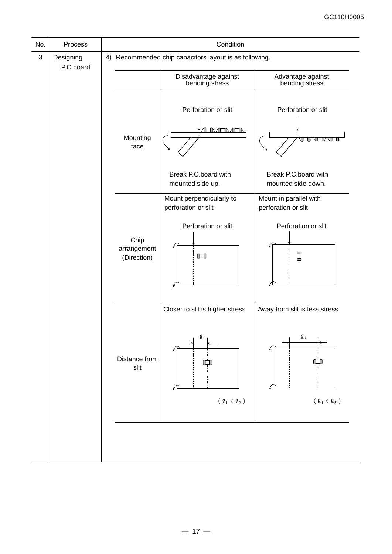| No.          | Process                |  | Condition                                |                                                        |                                               |  |  |  |
|--------------|------------------------|--|------------------------------------------|--------------------------------------------------------|-----------------------------------------------|--|--|--|
| $\mathbf{3}$ | Designing<br>P.C.board |  |                                          | 4) Recommended chip capacitors layout is as following. |                                               |  |  |  |
|              |                        |  |                                          | Disadvantage against<br>bending stress                 | Advantage against<br>bending stress           |  |  |  |
|              |                        |  | Mounting<br>face                         | Perforation or slit<br>▔ハ╷Æ▔ハ╷Æ▔∏                      | Perforation or slit<br>VUVVUV                 |  |  |  |
|              |                        |  | Break P.C.board with<br>mounted side up. | Break P.C.board with<br>mounted side down.             |                                               |  |  |  |
|              |                        |  |                                          | Mount perpendicularly to<br>perforation or slit        | Mount in parallel with<br>perforation or slit |  |  |  |
|              |                        |  | Chip<br>arrangement<br>(Direction)       | Perforation or slit<br>$\Box$                          | Perforation or slit<br>$\Box$                 |  |  |  |
|              |                        |  |                                          | Closer to slit is higher stress                        | Away from slit is less stress                 |  |  |  |
|              |                        |  | Distance from<br>slit                    | $\mathbf{\mathfrak{Q}}_1$                              | $\mathfrak{Q}_2$                              |  |  |  |
|              |                        |  |                                          | ( $\mathfrak{Q}_1 < \mathfrak{Q}_2$ )                  | ( $\mathfrak{Q}_1 < \mathfrak{Q}_2$ )         |  |  |  |
|              |                        |  |                                          |                                                        |                                               |  |  |  |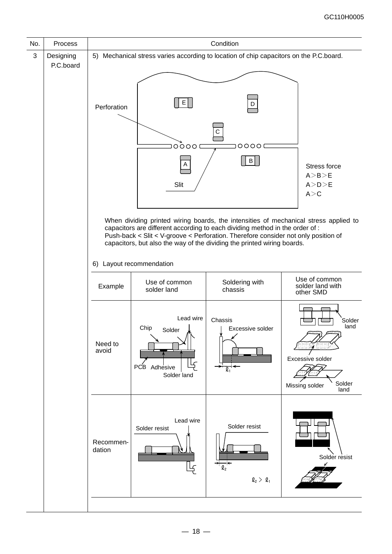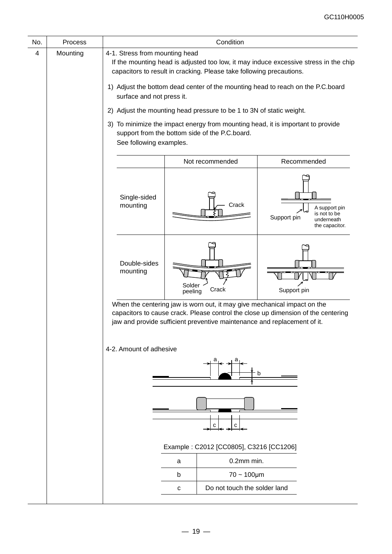| No. | Process  | Condition                                                                                                                                                                                      |                                                                                                                                                                                                                                           |                                                                              |  |  |  |  |
|-----|----------|------------------------------------------------------------------------------------------------------------------------------------------------------------------------------------------------|-------------------------------------------------------------------------------------------------------------------------------------------------------------------------------------------------------------------------------------------|------------------------------------------------------------------------------|--|--|--|--|
| 4   | Mounting | 4-1. Stress from mounting head<br>If the mounting head is adjusted too low, it may induce excessive stress in the chip<br>capacitors to result in cracking. Please take following precautions. |                                                                                                                                                                                                                                           |                                                                              |  |  |  |  |
|     |          | surface and not press it.                                                                                                                                                                      | 1) Adjust the bottom dead center of the mounting head to reach on the P.C.board                                                                                                                                                           |                                                                              |  |  |  |  |
|     |          |                                                                                                                                                                                                | 2) Adjust the mounting head pressure to be 1 to 3N of static weight.                                                                                                                                                                      |                                                                              |  |  |  |  |
|     |          |                                                                                                                                                                                                | 3) To minimize the impact energy from mounting head, it is important to provide<br>support from the bottom side of the P.C.board.<br>See following examples.                                                                              |                                                                              |  |  |  |  |
|     |          |                                                                                                                                                                                                | Not recommended                                                                                                                                                                                                                           | Recommended                                                                  |  |  |  |  |
|     |          | Single-sided<br>mounting                                                                                                                                                                       | Crack                                                                                                                                                                                                                                     | A support pin<br>is not to be<br>Support pin<br>underneath<br>the capacitor. |  |  |  |  |
|     |          | Double-sides<br>mounting                                                                                                                                                                       | Solder<br>Crack<br>peeling                                                                                                                                                                                                                | Support pin                                                                  |  |  |  |  |
|     |          |                                                                                                                                                                                                | When the centering jaw is worn out, it may give mechanical impact on the<br>capacitors to cause crack. Please control the close up dimension of the centering<br>jaw and provide sufficient preventive maintenance and replacement of it. |                                                                              |  |  |  |  |
|     |          | 4-2. Amount of adhesive                                                                                                                                                                        |                                                                                                                                                                                                                                           | b                                                                            |  |  |  |  |
|     |          |                                                                                                                                                                                                | с<br>с                                                                                                                                                                                                                                    |                                                                              |  |  |  |  |
|     |          |                                                                                                                                                                                                | Example: C2012 [CC0805], C3216 [CC1206]                                                                                                                                                                                                   |                                                                              |  |  |  |  |
|     |          |                                                                                                                                                                                                | 0.2mm min.<br>a<br>$70 - 100 \mu m$<br>b                                                                                                                                                                                                  |                                                                              |  |  |  |  |
|     |          |                                                                                                                                                                                                | Do not touch the solder land<br>С                                                                                                                                                                                                         |                                                                              |  |  |  |  |
|     |          |                                                                                                                                                                                                |                                                                                                                                                                                                                                           |                                                                              |  |  |  |  |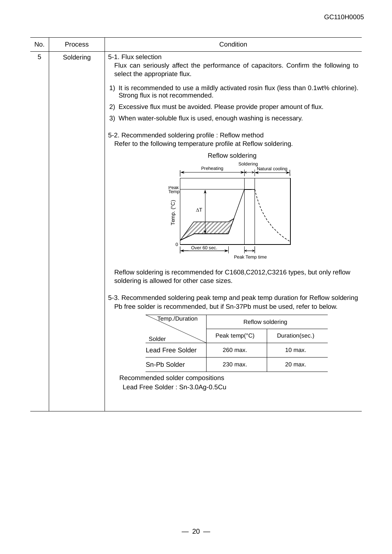| No. | Process   |                                                                                                                                                                                                                                                                                                                                                                                                                                                                                                                                                                                                                | Condition                                                     |                 |
|-----|-----------|----------------------------------------------------------------------------------------------------------------------------------------------------------------------------------------------------------------------------------------------------------------------------------------------------------------------------------------------------------------------------------------------------------------------------------------------------------------------------------------------------------------------------------------------------------------------------------------------------------------|---------------------------------------------------------------|-----------------|
| 5   | Soldering | 5-1. Flux selection<br>Flux can seriously affect the performance of capacitors. Confirm the following to<br>select the appropriate flux.<br>1) It is recommended to use a mildly activated rosin flux (less than 0.1wt% chlorine).<br>Strong flux is not recommended.<br>2) Excessive flux must be avoided. Please provide proper amount of flux.<br>3) When water-soluble flux is used, enough washing is necessary.<br>5-2. Recommended soldering profile: Reflow method<br>Refer to the following temperature profile at Reflow soldering.<br>Peak<br>Temp<br>Temp. (°C)<br>$\Delta T$<br>0<br>Over 60 sec. | Reflow soldering<br>Soldering<br>Preheating<br>Peak Temp time | Natural cooling |
|     |           | Reflow soldering is recommended for C1608, C2012, C3216 types, but only reflow<br>soldering is allowed for other case sizes.<br>5-3. Recommended soldering peak temp and peak temp duration for Reflow soldering<br>Pb free solder is recommended, but if Sn-37Pb must be used, refer to below.<br>Temp./Duration<br>Solder                                                                                                                                                                                                                                                                                    | Reflow soldering<br>Peak temp(°C)                             | Duration(sec.)  |
|     |           | Lead Free Solder                                                                                                                                                                                                                                                                                                                                                                                                                                                                                                                                                                                               | 260 max.                                                      | 10 max.         |
|     |           | Sn-Pb Solder                                                                                                                                                                                                                                                                                                                                                                                                                                                                                                                                                                                                   | 230 max.                                                      | 20 max.         |
|     |           | Recommended solder compositions<br>Lead Free Solder: Sn-3.0Ag-0.5Cu                                                                                                                                                                                                                                                                                                                                                                                                                                                                                                                                            |                                                               |                 |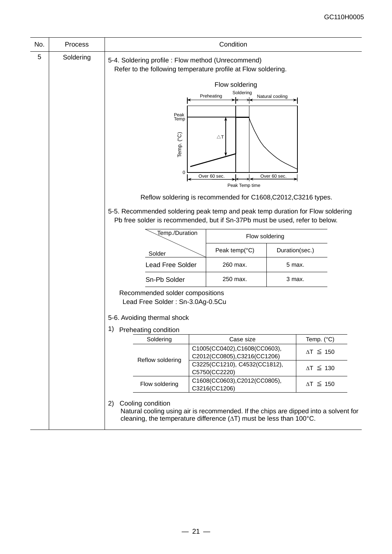| No. | <b>Process</b> |                             | Condition                                                                                                           |                                                                                                                                                                    |                     |                     |  |
|-----|----------------|-----------------------------|---------------------------------------------------------------------------------------------------------------------|--------------------------------------------------------------------------------------------------------------------------------------------------------------------|---------------------|---------------------|--|
| 5   | Soldering      |                             | 5-4. Soldering profile : Flow method (Unrecommend)<br>Refer to the following temperature profile at Flow soldering. |                                                                                                                                                                    |                     |                     |  |
|     |                |                             |                                                                                                                     | Flow soldering                                                                                                                                                     |                     |                     |  |
|     |                |                             |                                                                                                                     | Soldering<br>Preheating                                                                                                                                            | Natural cooling     |                     |  |
|     |                |                             |                                                                                                                     |                                                                                                                                                                    |                     |                     |  |
|     |                |                             | Peak<br>Temp                                                                                                        |                                                                                                                                                                    |                     |                     |  |
|     |                |                             | Temp. (°C)                                                                                                          | $\triangle$ T                                                                                                                                                      |                     |                     |  |
|     |                |                             |                                                                                                                     |                                                                                                                                                                    |                     |                     |  |
|     |                |                             | $\mathbf 0$                                                                                                         | Over 60 sec.                                                                                                                                                       | Over 60 sec.        |                     |  |
|     |                |                             | Peak Temp time                                                                                                      |                                                                                                                                                                    |                     |                     |  |
|     |                |                             |                                                                                                                     | Reflow soldering is recommended for C1608, C2012, C3216 types.                                                                                                     |                     |                     |  |
|     |                |                             |                                                                                                                     | 5-5. Recommended soldering peak temp and peak temp duration for Flow soldering<br>Pb free solder is recommended, but if Sn-37Pb must be used, refer to below.      |                     |                     |  |
|     |                |                             | Temp./Duration                                                                                                      | Flow soldering                                                                                                                                                     |                     |                     |  |
|     |                |                             |                                                                                                                     | Peak temp(°C)                                                                                                                                                      | Duration(sec.)      |                     |  |
|     |                |                             | Solder<br><b>Lead Free Solder</b><br>260 max.                                                                       |                                                                                                                                                                    | 5 max.              |                     |  |
|     |                |                             | Sn-Pb Solder                                                                                                        | 250 max.<br>3 max.                                                                                                                                                 |                     |                     |  |
|     |                |                             |                                                                                                                     |                                                                                                                                                                    |                     |                     |  |
|     |                |                             | Recommended solder compositions<br>Lead Free Solder: Sn-3.0Ag-0.5Cu                                                 |                                                                                                                                                                    |                     |                     |  |
|     |                |                             |                                                                                                                     |                                                                                                                                                                    |                     |                     |  |
|     |                | 5-6. Avoiding thermal shock |                                                                                                                     |                                                                                                                                                                    |                     |                     |  |
|     |                | 1) Preheating condition     |                                                                                                                     |                                                                                                                                                                    |                     |                     |  |
|     |                | Soldering                   |                                                                                                                     | Case size<br>C1005(CC0402),C1608(CC0603),                                                                                                                          |                     | Temp. (°C)          |  |
|     |                |                             |                                                                                                                     | C2012(CC0805),C3216(CC1206)                                                                                                                                        |                     | $\Delta T \leq 150$ |  |
|     |                |                             | Reflow soldering                                                                                                    | C3225(CC1210), C4532(CC1812),<br>C5750(CC2220)                                                                                                                     |                     | $\Delta T \leq 130$ |  |
|     |                |                             | Flow soldering                                                                                                      | C1608(CC0603),C2012(CC0805),<br>C3216(CC1206)                                                                                                                      | $\Delta T \leq 150$ |                     |  |
|     |                | Cooling condition<br>2)     |                                                                                                                     | Natural cooling using air is recommended. If the chips are dipped into a solvent for<br>cleaning, the temperature difference $(\Delta T)$ must be less than 100°C. |                     |                     |  |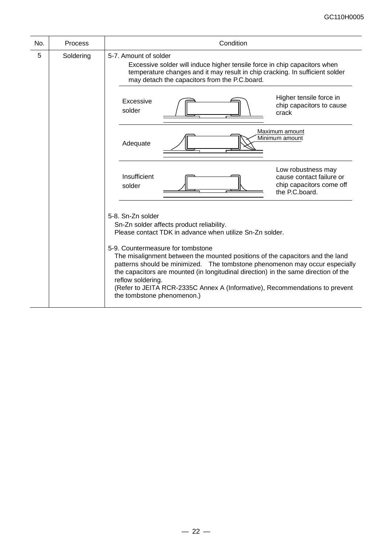| No. | Process   | Condition                                                                                                                                                                                                                                                                                                                                                                                                                                                                                                                                                 |
|-----|-----------|-----------------------------------------------------------------------------------------------------------------------------------------------------------------------------------------------------------------------------------------------------------------------------------------------------------------------------------------------------------------------------------------------------------------------------------------------------------------------------------------------------------------------------------------------------------|
| 5   | Soldering | 5-7. Amount of solder<br>Excessive solder will induce higher tensile force in chip capacitors when<br>temperature changes and it may result in chip cracking. In sufficient solder<br>may detach the capacitors from the P.C.board.                                                                                                                                                                                                                                                                                                                       |
|     |           | Higher tensile force in<br>Excessive<br>chip capacitors to cause<br>solder<br>crack                                                                                                                                                                                                                                                                                                                                                                                                                                                                       |
|     |           | Maximum amount<br>Minimum amount<br>Adequate                                                                                                                                                                                                                                                                                                                                                                                                                                                                                                              |
|     |           | Low robustness may<br>Insufficient<br>cause contact failure or<br>chip capacitors come off<br>solder<br>the P.C.board.                                                                                                                                                                                                                                                                                                                                                                                                                                    |
|     |           | 5-8. Sn-Zn solder<br>Sn-Zn solder affects product reliability.<br>Please contact TDK in advance when utilize Sn-Zn solder.<br>5-9. Countermeasure for tombstone<br>The misalignment between the mounted positions of the capacitors and the land<br>patterns should be minimized.  The tombstone phenomenon may occur especially<br>the capacitors are mounted (in longitudinal direction) in the same direction of the<br>reflow soldering.<br>(Refer to JEITA RCR-2335C Annex A (Informative), Recommendations to prevent<br>the tombstone phenomenon.) |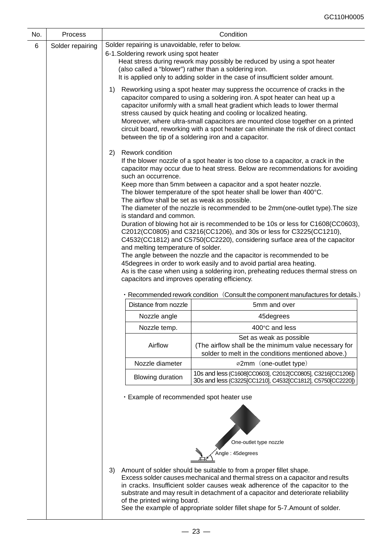| No. | <b>Process</b>   |                                                                                                                                                                                                                                                                                                                                                                                                                                                                                                                                                                                                                                                                                                                                                                                                                                                                                      | Condition                                                                                                                                                                                                                                                                                                                                                                                                                                                                            |  |  |
|-----|------------------|--------------------------------------------------------------------------------------------------------------------------------------------------------------------------------------------------------------------------------------------------------------------------------------------------------------------------------------------------------------------------------------------------------------------------------------------------------------------------------------------------------------------------------------------------------------------------------------------------------------------------------------------------------------------------------------------------------------------------------------------------------------------------------------------------------------------------------------------------------------------------------------|--------------------------------------------------------------------------------------------------------------------------------------------------------------------------------------------------------------------------------------------------------------------------------------------------------------------------------------------------------------------------------------------------------------------------------------------------------------------------------------|--|--|
| 6   | Solder repairing | Solder repairing is unavoidable, refer to below.<br>6-1. Soldering rework using spot heater<br>(also called a "blower") rather than a soldering iron.                                                                                                                                                                                                                                                                                                                                                                                                                                                                                                                                                                                                                                                                                                                                | Heat stress during rework may possibly be reduced by using a spot heater<br>It is applied only to adding solder in the case of insufficient solder amount.                                                                                                                                                                                                                                                                                                                           |  |  |
|     |                  | 1)<br>between the tip of a soldering iron and a capacitor.                                                                                                                                                                                                                                                                                                                                                                                                                                                                                                                                                                                                                                                                                                                                                                                                                           | Reworking using a spot heater may suppress the occurrence of cracks in the<br>capacitor compared to using a soldering iron. A spot heater can heat up a<br>capacitor uniformly with a small heat gradient which leads to lower thermal<br>stress caused by quick heating and cooling or localized heating.<br>Moreover, where ultra-small capacitors are mounted close together on a printed<br>circuit board, reworking with a spot heater can eliminate the risk of direct contact |  |  |
|     |                  | Rework condition<br>2)<br>If the blower nozzle of a spot heater is too close to a capacitor, a crack in the<br>capacitor may occur due to heat stress. Below are recommendations for avoiding<br>such an occurrence.<br>Keep more than 5mm between a capacitor and a spot heater nozzle.<br>The blower temperature of the spot heater shall be lower than 400°C.<br>The airflow shall be set as weak as possible.<br>The diameter of the nozzle is recommended to be 2mm (one-outlet type). The size<br>is standard and common.<br>Duration of blowing hot air is recommended to be 10s or less for C1608(CC0603),<br>C2012(CC0805) and C3216(CC1206), and 30s or less for C3225(CC1210),<br>C4532(CC1812) and C5750(CC2220), considering surface area of the capacitor<br>and melting temperature of solder.<br>The angle between the nozzle and the capacitor is recommended to be |                                                                                                                                                                                                                                                                                                                                                                                                                                                                                      |  |  |
|     |                  |                                                                                                                                                                                                                                                                                                                                                                                                                                                                                                                                                                                                                                                                                                                                                                                                                                                                                      |                                                                                                                                                                                                                                                                                                                                                                                                                                                                                      |  |  |
|     |                  | capacitors and improves operating efficiency.                                                                                                                                                                                                                                                                                                                                                                                                                                                                                                                                                                                                                                                                                                                                                                                                                                        | 45 degrees in order to work easily and to avoid partial area heating.<br>As is the case when using a soldering iron, preheating reduces thermal stress on                                                                                                                                                                                                                                                                                                                            |  |  |
|     |                  | Distance from nozzle                                                                                                                                                                                                                                                                                                                                                                                                                                                                                                                                                                                                                                                                                                                                                                                                                                                                 | · Recommended rework condition (Consult the component manufactures for details.)<br>5mm and over                                                                                                                                                                                                                                                                                                                                                                                     |  |  |
|     |                  | Nozzle angle                                                                                                                                                                                                                                                                                                                                                                                                                                                                                                                                                                                                                                                                                                                                                                                                                                                                         | 45degrees                                                                                                                                                                                                                                                                                                                                                                                                                                                                            |  |  |
|     |                  | Nozzle temp.                                                                                                                                                                                                                                                                                                                                                                                                                                                                                                                                                                                                                                                                                                                                                                                                                                                                         | 400°C and less                                                                                                                                                                                                                                                                                                                                                                                                                                                                       |  |  |
|     |                  | Airflow                                                                                                                                                                                                                                                                                                                                                                                                                                                                                                                                                                                                                                                                                                                                                                                                                                                                              | Set as weak as possible<br>(The airflow shall be the minimum value necessary for<br>solder to melt in the conditions mentioned above.)                                                                                                                                                                                                                                                                                                                                               |  |  |
|     |                  | Nozzle diameter                                                                                                                                                                                                                                                                                                                                                                                                                                                                                                                                                                                                                                                                                                                                                                                                                                                                      | ø2mm (one-outlet type)                                                                                                                                                                                                                                                                                                                                                                                                                                                               |  |  |
|     |                  | <b>Blowing duration</b>                                                                                                                                                                                                                                                                                                                                                                                                                                                                                                                                                                                                                                                                                                                                                                                                                                                              | 10s and less (C1608[CC0603], C2012[CC0805], C3216[CC1206])<br>30s and less (C3225[CC1210], C4532[CC1812], C5750[CC2220])                                                                                                                                                                                                                                                                                                                                                             |  |  |
|     |                  | . Example of recommended spot heater use                                                                                                                                                                                                                                                                                                                                                                                                                                                                                                                                                                                                                                                                                                                                                                                                                                             | One-outlet type nozzle                                                                                                                                                                                                                                                                                                                                                                                                                                                               |  |  |
|     |                  |                                                                                                                                                                                                                                                                                                                                                                                                                                                                                                                                                                                                                                                                                                                                                                                                                                                                                      | Angle: 45degrees                                                                                                                                                                                                                                                                                                                                                                                                                                                                     |  |  |
|     |                  | 3)<br>of the printed wiring board.                                                                                                                                                                                                                                                                                                                                                                                                                                                                                                                                                                                                                                                                                                                                                                                                                                                   | Amount of solder should be suitable to from a proper fillet shape.<br>Excess solder causes mechanical and thermal stress on a capacitor and results<br>in cracks. Insufficient solder causes weak adherence of the capacitor to the<br>substrate and may result in detachment of a capacitor and deteriorate reliability<br>See the example of appropriate solder fillet shape for 5-7. Amount of solder.                                                                            |  |  |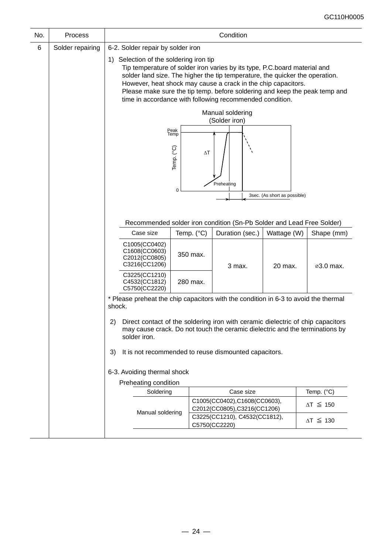| No. | Process                                                                                             | Condition                                                                                     |                                                                                                                                                                                                                                                                                                                                                                                                                |            |                                                                                                                                                                 |             |                     |  |
|-----|-----------------------------------------------------------------------------------------------------|-----------------------------------------------------------------------------------------------|----------------------------------------------------------------------------------------------------------------------------------------------------------------------------------------------------------------------------------------------------------------------------------------------------------------------------------------------------------------------------------------------------------------|------------|-----------------------------------------------------------------------------------------------------------------------------------------------------------------|-------------|---------------------|--|
| 6   | Solder repairing                                                                                    | 6-2. Solder repair by solder iron                                                             |                                                                                                                                                                                                                                                                                                                                                                                                                |            |                                                                                                                                                                 |             |                     |  |
|     |                                                                                                     |                                                                                               | 1) Selection of the soldering iron tip<br>Tip temperature of solder iron varies by its type, P.C.board material and<br>solder land size. The higher the tip temperature, the quicker the operation.<br>However, heat shock may cause a crack in the chip capacitors.<br>Please make sure the tip temp. before soldering and keep the peak temp and<br>time in accordance with following recommended condition. |            |                                                                                                                                                                 |             |                     |  |
|     |                                                                                                     |                                                                                               |                                                                                                                                                                                                                                                                                                                                                                                                                |            | Manual soldering<br>(Solder iron)                                                                                                                               |             |                     |  |
|     | Peak<br>Temp<br>Temp. (°C)<br>$\Delta\mathsf{T}$<br>Preheating<br>0<br>3sec. (As short as possible) |                                                                                               |                                                                                                                                                                                                                                                                                                                                                                                                                |            |                                                                                                                                                                 |             |                     |  |
|     |                                                                                                     |                                                                                               |                                                                                                                                                                                                                                                                                                                                                                                                                |            | Recommended solder iron condition (Sn-Pb Solder and Lead Free Solder)                                                                                           |             |                     |  |
|     |                                                                                                     | Case size                                                                                     |                                                                                                                                                                                                                                                                                                                                                                                                                | Temp. (°C) | Duration (sec.)                                                                                                                                                 | Wattage (W) | Shape (mm)          |  |
|     |                                                                                                     | C1005(CC0402)<br>C1608(CC0603)<br>C2012(CC0805)<br>C3216(CC1206)                              |                                                                                                                                                                                                                                                                                                                                                                                                                | 350 max.   | 3 max.                                                                                                                                                          | 20 max.     | ⊘3.0 max.           |  |
|     |                                                                                                     | C3225(CC1210)<br>C4532(CC1812)<br>C5750(CC2220)                                               |                                                                                                                                                                                                                                                                                                                                                                                                                | 280 max.   |                                                                                                                                                                 |             |                     |  |
|     |                                                                                                     | * Please preheat the chip capacitors with the condition in 6-3 to avoid the thermal<br>shock. |                                                                                                                                                                                                                                                                                                                                                                                                                |            |                                                                                                                                                                 |             |                     |  |
|     |                                                                                                     | 2)<br>solder iron.                                                                            |                                                                                                                                                                                                                                                                                                                                                                                                                |            | Direct contact of the soldering iron with ceramic dielectric of chip capacitors<br>may cause crack. Do not touch the ceramic dielectric and the terminations by |             |                     |  |
|     |                                                                                                     | 3)<br>It is not recommended to reuse dismounted capacitors.                                   |                                                                                                                                                                                                                                                                                                                                                                                                                |            |                                                                                                                                                                 |             |                     |  |
|     |                                                                                                     | 6-3. Avoiding thermal shock                                                                   |                                                                                                                                                                                                                                                                                                                                                                                                                |            |                                                                                                                                                                 |             |                     |  |
|     |                                                                                                     | Preheating condition                                                                          |                                                                                                                                                                                                                                                                                                                                                                                                                |            |                                                                                                                                                                 |             |                     |  |
|     |                                                                                                     | Soldering                                                                                     |                                                                                                                                                                                                                                                                                                                                                                                                                |            | Case size                                                                                                                                                       |             | Temp. (°C)          |  |
|     |                                                                                                     | Manual soldering                                                                              |                                                                                                                                                                                                                                                                                                                                                                                                                |            | C1005(CC0402),C1608(CC0603),<br>C2012(CC0805),C3216(CC1206)                                                                                                     |             | $\Delta T \leq 150$ |  |
|     |                                                                                                     |                                                                                               |                                                                                                                                                                                                                                                                                                                                                                                                                |            | C3225(CC1210), C4532(CC1812),<br>C5750(CC2220)                                                                                                                  |             | $\Delta T \leq 130$ |  |
|     |                                                                                                     |                                                                                               |                                                                                                                                                                                                                                                                                                                                                                                                                |            |                                                                                                                                                                 |             |                     |  |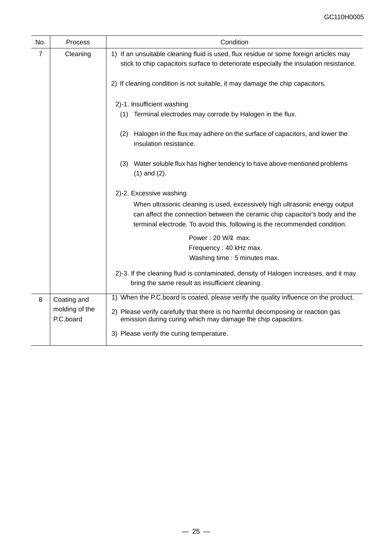| No.            | <b>Process</b>              | Condition                                                                                                                                                                                                                                |
|----------------|-----------------------------|------------------------------------------------------------------------------------------------------------------------------------------------------------------------------------------------------------------------------------------|
| $\overline{7}$ | Cleaning                    | 1) If an unsuitable cleaning fluid is used, flux residue or some foreign articles may<br>stick to chip capacitors surface to deteriorate especially the insulation resistance.                                                           |
|                |                             | 2) If cleaning condition is not suitable, it may damage the chip capacitors.                                                                                                                                                             |
|                |                             | 2)-1. Insufficient washing                                                                                                                                                                                                               |
|                |                             | Terminal electrodes may corrode by Halogen in the flux.<br>(1)                                                                                                                                                                           |
|                |                             | Halogen in the flux may adhere on the surface of capacitors, and lower the<br>(2)<br>insulation resistance.                                                                                                                              |
|                |                             | Water soluble flux has higher tendency to have above mentioned problems<br>(3)<br>$(1)$ and $(2)$ .                                                                                                                                      |
|                |                             | 2)-2. Excessive washing                                                                                                                                                                                                                  |
|                |                             | When ultrasonic cleaning is used, excessively high ultrasonic energy output<br>can affect the connection between the ceramic chip capacitor's body and the<br>terminal electrode. To avoid this, following is the recommended condition. |
|                |                             | Power: 20 W/2 max.                                                                                                                                                                                                                       |
|                |                             | Frequency: 40 kHz max.<br>Washing time : 5 minutes max.                                                                                                                                                                                  |
|                |                             | 2)-3. If the cleaning fluid is contaminated, density of Halogen increases, and it may<br>bring the same result as insufficient cleaning.                                                                                                 |
| 8              | Coating and                 | 1) When the P.C.board is coated, please verify the quality influence on the product.                                                                                                                                                     |
|                | molding of the<br>P.C.board | 2) Please verify carefully that there is no harmful decomposing or reaction gas<br>emission during curing which may damage the chip capacitors.                                                                                          |
|                |                             | 3) Please verify the curing temperature.                                                                                                                                                                                                 |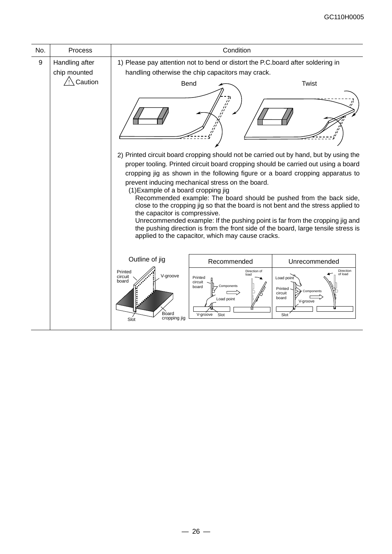| No. | <b>Process</b> | Condition                                                                |                                                                                                       |                                                                                                                                                                                                                                                                                                                                                                                                                                                                                                                                                                                                 |  |  |
|-----|----------------|--------------------------------------------------------------------------|-------------------------------------------------------------------------------------------------------|-------------------------------------------------------------------------------------------------------------------------------------------------------------------------------------------------------------------------------------------------------------------------------------------------------------------------------------------------------------------------------------------------------------------------------------------------------------------------------------------------------------------------------------------------------------------------------------------------|--|--|
| 9   | Handling after |                                                                          | 1) Please pay attention not to bend or distort the P.C.board after soldering in                       |                                                                                                                                                                                                                                                                                                                                                                                                                                                                                                                                                                                                 |  |  |
|     | chip mounted   |                                                                          | handling otherwise the chip capacitors may crack.                                                     |                                                                                                                                                                                                                                                                                                                                                                                                                                                                                                                                                                                                 |  |  |
|     | Caution        | <b>Twist</b><br>Bend                                                     |                                                                                                       |                                                                                                                                                                                                                                                                                                                                                                                                                                                                                                                                                                                                 |  |  |
|     |                |                                                                          |                                                                                                       |                                                                                                                                                                                                                                                                                                                                                                                                                                                                                                                                                                                                 |  |  |
|     |                | (1) Example of a board cropping jig<br>the capacitor is compressive.     | prevent inducing mechanical stress on the board.<br>applied to the capacitor, which may cause cracks. | 2) Printed circuit board cropping should not be carried out by hand, but by using the<br>proper tooling. Printed circuit board cropping should be carried out using a board<br>cropping jig as shown in the following figure or a board cropping apparatus to<br>Recommended example: The board should be pushed from the back side,<br>close to the cropping jig so that the board is not bent and the stress applied to<br>Unrecommended example: If the pushing point is far from the cropping jig and<br>the pushing direction is from the front side of the board, large tensile stress is |  |  |
|     |                | Outline of jig                                                           | Recommended                                                                                           | Unrecommended                                                                                                                                                                                                                                                                                                                                                                                                                                                                                                                                                                                   |  |  |
|     |                | Printed<br>V-groove<br>circuit<br>board<br>Board<br>cropping jig<br>Slot | Direction of<br>heol<br>Printed<br>circuit<br>Components<br>board<br>Load point<br>V-groove<br>Slot   | Direction<br>of load<br>Load point<br>Printed<br>Components<br>circuit<br>board<br>V-groove<br>Slot                                                                                                                                                                                                                                                                                                                                                                                                                                                                                             |  |  |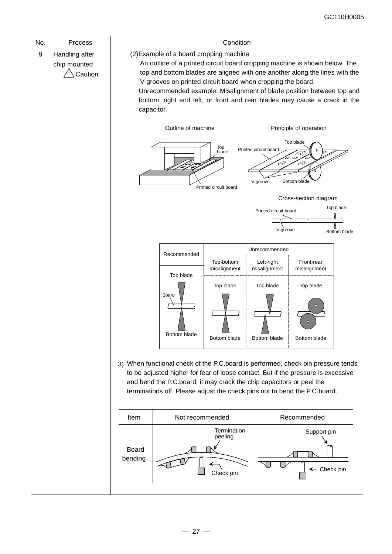| No. | Process                                   | Condition                                                                                                                                                                                                                                                                                                                                                                                                                               |                                                                                                                                                                                                                                                                                                                            |                                           |                                                                             |                                                                                    |                           |
|-----|-------------------------------------------|-----------------------------------------------------------------------------------------------------------------------------------------------------------------------------------------------------------------------------------------------------------------------------------------------------------------------------------------------------------------------------------------------------------------------------------------|----------------------------------------------------------------------------------------------------------------------------------------------------------------------------------------------------------------------------------------------------------------------------------------------------------------------------|-------------------------------------------|-----------------------------------------------------------------------------|------------------------------------------------------------------------------------|---------------------------|
| 9   | Handling after<br>chip mounted<br>Caution | (2) Example of a board cropping machine<br>An outline of a printed circuit board cropping machine is shown below. The<br>top and bottom blades are aligned with one another along the lines with the<br>V-grooves on printed circuit board when cropping the board.<br>Unrecommended example: Misalignment of blade position between top and<br>bottom, right and left, or front and rear blades may cause a crack in the<br>capacitor. |                                                                                                                                                                                                                                                                                                                            |                                           |                                                                             |                                                                                    |                           |
|     |                                           |                                                                                                                                                                                                                                                                                                                                                                                                                                         | Outline of machine                                                                                                                                                                                                                                                                                                         | Top<br>blade<br>Printed circuit board     | Printed circuit board<br>D<br>V-groove<br>Printed circuit board<br>V-groove | Principle of operation<br>Top blade<br>27<br>Bottom blade<br>Cross-section diagram | Top blade<br>Bottom blade |
|     |                                           |                                                                                                                                                                                                                                                                                                                                                                                                                                         |                                                                                                                                                                                                                                                                                                                            |                                           |                                                                             |                                                                                    |                           |
|     |                                           |                                                                                                                                                                                                                                                                                                                                                                                                                                         | Recommended                                                                                                                                                                                                                                                                                                                | Top-bottom                                | Unrecommended<br>Left-right                                                 | Front-rear                                                                         |                           |
|     |                                           |                                                                                                                                                                                                                                                                                                                                                                                                                                         | Top blade<br>Board<br>Bottom blade                                                                                                                                                                                                                                                                                         | misalignment<br>Top blade<br>Bottom blade | misalignment<br>Top blade<br>Bottom blade                                   | misalignment<br>Top blade<br>Bottom blade                                          |                           |
|     |                                           |                                                                                                                                                                                                                                                                                                                                                                                                                                         | 3) When functional check of the P.C.board is performed, check pin pressure tends<br>to be adjusted higher for fear of loose contact. But if the pressure is excessive<br>and bend the P.C.board, it may crack the chip capacitors or peel the<br>terminations off. Please adjust the check pins not to bend the P.C.board. |                                           |                                                                             |                                                                                    |                           |
|     |                                           | Item                                                                                                                                                                                                                                                                                                                                                                                                                                    | Not recommended                                                                                                                                                                                                                                                                                                            |                                           |                                                                             | Recommended                                                                        |                           |
|     |                                           | <b>Board</b><br>bending                                                                                                                                                                                                                                                                                                                                                                                                                 |                                                                                                                                                                                                                                                                                                                            | Termination<br>peeling<br>Check pin       |                                                                             | Support pin<br>← Check pin                                                         |                           |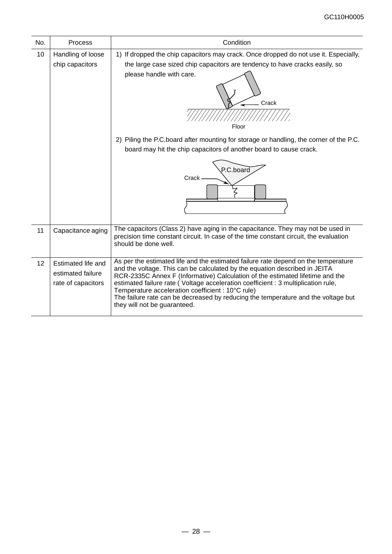| No. | Process                                                       | Condition                                                                                                                                                                                                                                                                                                                                                                                                                                                                                                        |  |  |  |
|-----|---------------------------------------------------------------|------------------------------------------------------------------------------------------------------------------------------------------------------------------------------------------------------------------------------------------------------------------------------------------------------------------------------------------------------------------------------------------------------------------------------------------------------------------------------------------------------------------|--|--|--|
| 10  | Handling of loose<br>chip capacitors                          | 1) If dropped the chip capacitors may crack. Once dropped do not use it. Especially,<br>the large case sized chip capacitors are tendency to have cracks easily, so<br>please handle with care.<br>Crack<br>Floor<br>2) Piling the P.C.board after mounting for storage or handling, the corner of the P.C.                                                                                                                                                                                                      |  |  |  |
|     |                                                               | board may hit the chip capacitors of another board to cause crack.<br>P.C.board<br>Crack                                                                                                                                                                                                                                                                                                                                                                                                                         |  |  |  |
| 11  | Capacitance aging                                             | The capacitors (Class 2) have aging in the capacitance. They may not be used in<br>precision time constant circuit. In case of the time constant circuit, the evaluation<br>should be done well.                                                                                                                                                                                                                                                                                                                 |  |  |  |
| 12  | Estimated life and<br>estimated failure<br>rate of capacitors | As per the estimated life and the estimated failure rate depend on the temperature<br>and the voltage. This can be calculated by the equation described in JEITA<br>RCR-2335C Annex F (Informative) Calculation of the estimated lifetime and the<br>estimated failure rate (Voltage acceleration coefficient : 3 multiplication rule,<br>Temperature acceleration coefficient : 10°C rule)<br>The failure rate can be decreased by reducing the temperature and the voltage but<br>they will not be guaranteed. |  |  |  |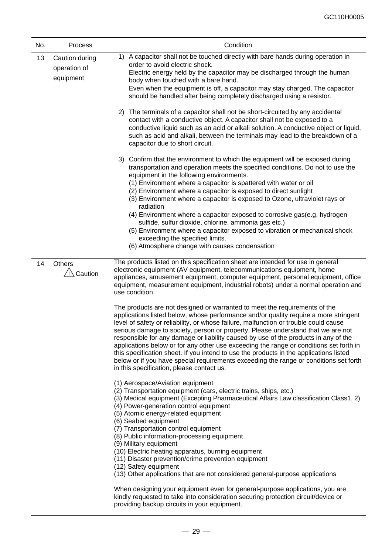| No.                                                       | Process                                     | Condition                                                                                                                                                                                                                                                                                                                                                                                                                                                                                                                                                                                                                                                                                                                                                       |  |  |
|-----------------------------------------------------------|---------------------------------------------|-----------------------------------------------------------------------------------------------------------------------------------------------------------------------------------------------------------------------------------------------------------------------------------------------------------------------------------------------------------------------------------------------------------------------------------------------------------------------------------------------------------------------------------------------------------------------------------------------------------------------------------------------------------------------------------------------------------------------------------------------------------------|--|--|
| 13                                                        | Caution during<br>operation of<br>equipment | 1) A capacitor shall not be touched directly with bare hands during operation in<br>order to avoid electric shock.<br>Electric energy held by the capacitor may be discharged through the human<br>body when touched with a bare hand.<br>Even when the equipment is off, a capacitor may stay charged. The capacitor<br>should be handled after being completely discharged using a resistor.                                                                                                                                                                                                                                                                                                                                                                  |  |  |
|                                                           |                                             | 2) The terminals of a capacitor shall not be short-circuited by any accidental<br>contact with a conductive object. A capacitor shall not be exposed to a<br>conductive liquid such as an acid or alkali solution. A conductive object or liquid,<br>such as acid and alkali, between the terminals may lead to the breakdown of a<br>capacitor due to short circuit.                                                                                                                                                                                                                                                                                                                                                                                           |  |  |
|                                                           |                                             | 3) Confirm that the environment to which the equipment will be exposed during<br>transportation and operation meets the specified conditions. Do not to use the<br>equipment in the following environments.<br>(1) Environment where a capacitor is spattered with water or oil<br>(2) Environment where a capacitor is exposed to direct sunlight<br>(3) Environment where a capacitor is exposed to Ozone, ultraviolet rays or<br>radiation<br>(4) Environment where a capacitor exposed to corrosive gas(e.g. hydrogen<br>sulfide, sulfur dioxide, chlorine. ammonia gas etc.)<br>(5) Environment where a capacitor exposed to vibration or mechanical shock<br>exceeding the specified limits.<br>(6) Atmosphere change with causes condensation            |  |  |
| 14<br>Others<br><sup>∕</sup> !∑ Caution<br>use condition. |                                             | The products listed on this specification sheet are intended for use in general<br>electronic equipment (AV equipment, telecommunications equipment, home<br>appliances, amusement equipment, computer equipment, personal equipment, office<br>equipment, measurement equipment, industrial robots) under a normal operation and                                                                                                                                                                                                                                                                                                                                                                                                                               |  |  |
|                                                           |                                             | The products are not designed or warranted to meet the requirements of the<br>applications listed below, whose performance and/or quality require a more stringent<br>level of safety or reliability, or whose failure, malfunction or trouble could cause<br>serious damage to society, person or property. Please understand that we are not<br>responsible for any damage or liability caused by use of the products in any of the<br>applications below or for any other use exceeding the range or conditions set forth in<br>this specification sheet. If you intend to use the products in the applications listed<br>below or if you have special requirements exceeding the range or conditions set forth<br>in this specification, please contact us. |  |  |
|                                                           |                                             | (1) Aerospace/Aviation equipment<br>(2) Transportation equipment (cars, electric trains, ships, etc.)<br>(3) Medical equipment (Excepting Pharmaceutical Affairs Law classification Class1, 2)<br>(4) Power-generation control equipment<br>(5) Atomic energy-related equipment<br>(6) Seabed equipment<br>(7) Transportation control equipment<br>(8) Public information-processing equipment<br>(9) Military equipment<br>(10) Electric heating apparatus, burning equipment<br>(11) Disaster prevention/crime prevention equipment<br>(12) Safety equipment<br>(13) Other applications that are not considered general-purpose applications                                                                                                                  |  |  |
|                                                           |                                             | When designing your equipment even for general-purpose applications, you are<br>kindly requested to take into consideration securing protection circuit/device or<br>providing backup circuits in your equipment.                                                                                                                                                                                                                                                                                                                                                                                                                                                                                                                                               |  |  |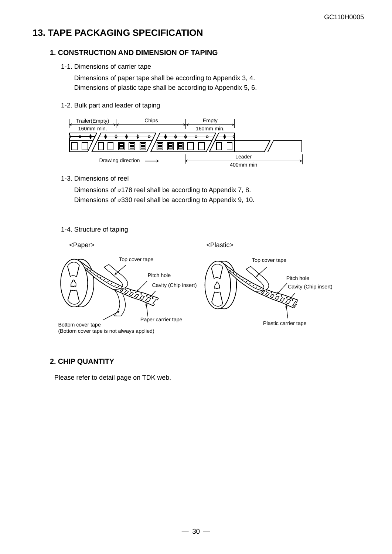## **13. TAPE PACKAGING SPECIFICATION**

#### **1. CONSTRUCTION AND DIMENSION OF TAPING**

1-1. Dimensions of carrier tape

Dimensions of paper tape shall be according to Appendix 3, 4. Dimensions of plastic tape shall be according to Appendix 5, 6.

1-2. Bulk part and leader of taping



1-3. Dimensions of reel

Dimensions of ⌀178 reel shall be according to Appendix 7, 8. Dimensions of ⌀330 reel shall be according to Appendix 9, 10.

1-4. Structure of taping



### **2. CHIP QUANTITY**

Please refer to detail page on TDK web.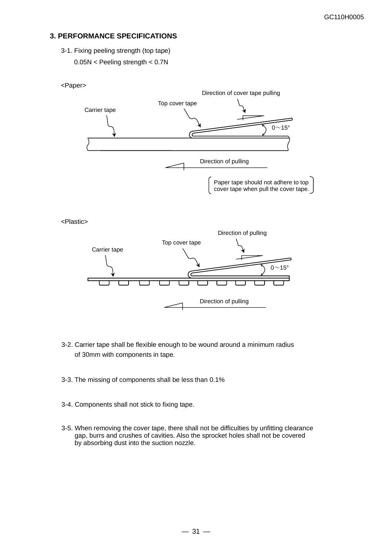#### **3. PERFORMANCE SPECIFICATIONS**

3-1. Fixing peeling strength (top tape) 0.05N < Peeling strength < 0.7N



- 3-2. Carrier tape shall be flexible enough to be wound around a minimum radius of 30mm with components in tape.
- 3-3. The missing of components shall be less than 0.1%
- 3-4. Components shall not stick to fixing tape.
- 3-5. When removing the cover tape, there shall not be difficulties by unfitting clearance gap, burrs and crushes of cavities. Also the sprocket holes shall not be covered by absorbing dust into the suction nozzle.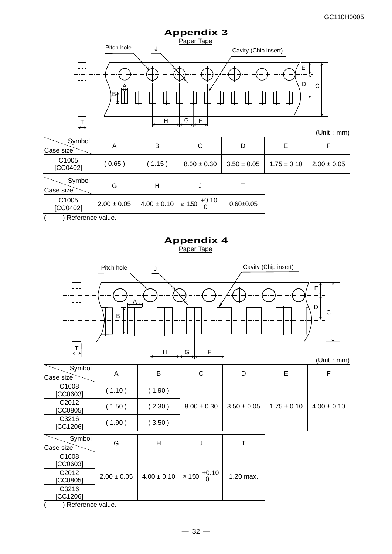

(Unit:mm)

|                                  |                 |                 |                               |                 |                 | .               |
|----------------------------------|-----------------|-----------------|-------------------------------|-----------------|-----------------|-----------------|
| Symbol<br>Case size              | A               | B               | С                             | D               | Е               | F               |
| C1005<br>[CC0402]                | (0.65)          | (1.15)          | $8.00 \pm 0.30$               | $3.50 \pm 0.05$ | $1.75 \pm 0.10$ | $2.00 \pm 0.05$ |
| Symbol<br>Case size              | G               | н               | J                             |                 |                 |                 |
| C1005<br>[CC0402]                | $2.00 \pm 0.05$ | $4.00 \pm 0.10$ | $+0.10$<br>$\varnothing$ 1.50 | $0.60 + 0.05$   |                 |                 |
| $\lambda$ Defears are collected. |                 |                 |                               |                 |                 |                 |

( ) Reference value.

## **Appendix 4** Paper Tape



( ) Reference value.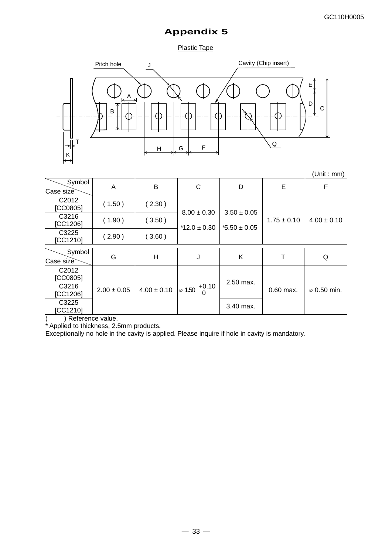Plastic Tape



|                                     |                 |                 |                                      |                  |                 | (Unit : mm)             |
|-------------------------------------|-----------------|-----------------|--------------------------------------|------------------|-----------------|-------------------------|
| Symbol<br>Case size                 | A               | B               | C                                    | D                | E               | F                       |
| C <sub>2012</sub><br><b>CC08051</b> | (1.50)          | (2.30)          | $8.00 \pm 0.30$                      | $3.50 \pm 0.05$  |                 |                         |
| C3216<br>[CC1206]                   | (1.90)          | (3.50)          | $*12.0 \pm 0.30$                     | $*5.50 \pm 0.05$ | $1.75 \pm 0.10$ | $4.00 \pm 0.10$         |
| C3225<br>[CC1210]                   | (2.90)          | (3.60)          |                                      |                  |                 |                         |
| Symbol<br>Case size                 | G               | H               | J                                    | Κ                | т               | Q                       |
| C <sub>2012</sub><br>[CC0805]       |                 |                 |                                      |                  |                 |                         |
| C3216<br>[CC1206]                   | $2.00 \pm 0.05$ | $4.00 \pm 0.10$ | $\frac{1}{2}$ 1.50 $\frac{+0.10}{5}$ | 2.50 max.        | $0.60$ max.     | $\varnothing$ 0.50 min. |
| C3225<br>[CC1210]                   |                 |                 |                                      | 3.40 max.        |                 |                         |

( ) Reference value.

\* Applied to thickness, 2.5mm products.

Exceptionally no hole in the cavity is applied. Please inquire if hole in cavity is mandatory.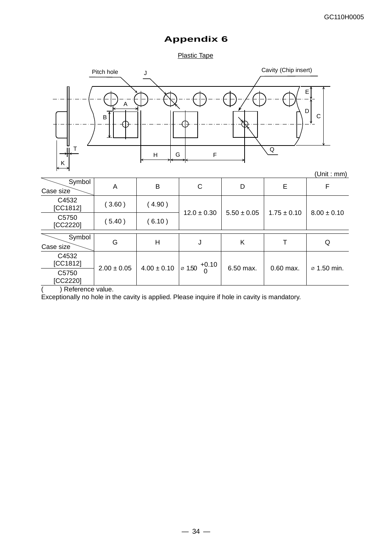Plastic Tape



) Reference value.

Exceptionally no hole in the cavity is applied. Please inquire if hole in cavity is mandatory.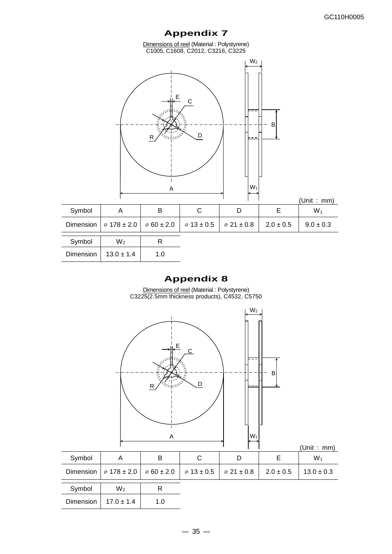Dimensions of reel (Material : Polystyrene) C1005, C1608, C2012, C3216, C3225



|        |                                                                                                             |   |  | (Unit : mm)   |
|--------|-------------------------------------------------------------------------------------------------------------|---|--|---------------|
| Symbol |                                                                                                             | в |  | $W_1$         |
|        | Dimension $\sqrt{6178 \pm 2.0}$ $\sqrt{60 \pm 2.0}$ $\sqrt{613 \pm 0.5}$ $\sqrt{621 \pm 0.8}$ 2.0 $\pm 0.5$ |   |  | $9.0 \pm 0.3$ |
| Symbol | W2                                                                                                          |   |  |               |

| Symbol    | W2             |             |  |
|-----------|----------------|-------------|--|
| Dimension | $13.0 \pm 1.4$ | 1. $\Omega$ |  |

# **Appendix 8**

Dimensions of reel (Material : Polystyrene) C3225(2.5mm thickness products), C4532, C5750